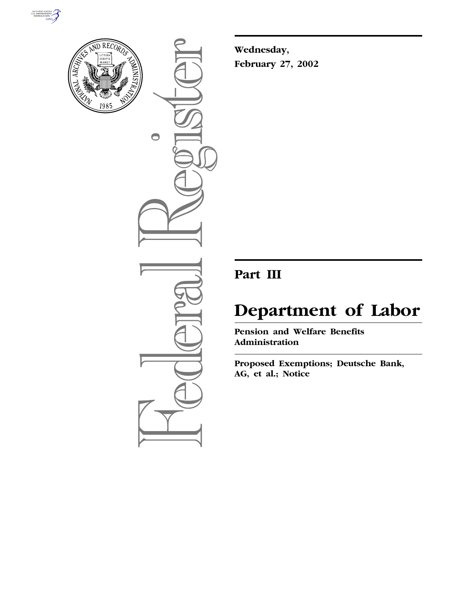



 $\bullet$ 

**Wednesday, February 27, 2002**

## **Part III**

# **Department of Labor**

**Pension and Welfare Benefits Administration**

**Proposed Exemptions; Deutsche Bank, AG, et al.; Notice**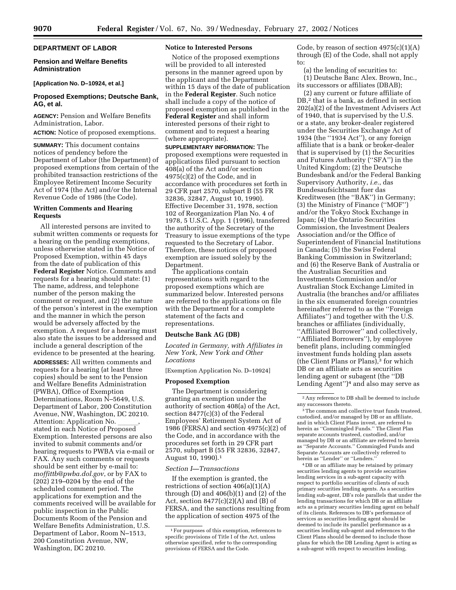#### **DEPARTMENT OF LABOR**

#### **Pension and Welfare Benefits Administration**

#### **[Application No. D–10924, et al.]**

#### **Proposed Exemptions; Deutsche Bank, AG, et al.**

**AGENCY:** Pension and Welfare Benefits Administration, Labor.

**ACTION:** Notice of proposed exemptions.

**SUMMARY:** This document contains notices of pendency before the Department of Labor (the Department) of proposed exemptions from certain of the prohibited transaction restrictions of the Employee Retirement Income Security Act of 1974 (the Act) and/or the Internal Revenue Code of 1986 (the Code).

#### **Written Comments and Hearing Requests**

All interested persons are invited to submit written comments or requests for a hearing on the pending exemptions, unless otherwise stated in the Notice of Proposed Exemption, within 45 days from the date of publication of this **Federal Register** Notice. Comments and requests for a hearing should state: (1) The name, address, and telephone number of the person making the comment or request, and (2) the nature of the person's interest in the exemption and the manner in which the person would be adversely affected by the exemption. A request for a hearing must also state the issues to be addressed and include a general description of the evidence to be presented at the hearing.

**ADDRESSES:** All written comments and requests for a hearing (at least three copies) should be sent to the Pension and Welfare Benefits Administration (PWBA), Office of Exemption Determinations, Room N–5649, U.S. Department of Labor, 200 Constitution Avenue, NW, Washington, DC 20210. Attention: Application No. stated in each Notice of Proposed Exemption. Interested persons are also invited to submit comments and/or hearing requests to PWBA via e-mail or FAX. Any such comments or requests should be sent either by e-mail to: *moffittb@pwba.dol.gov*, or by FAX to (202) 219–0204 by the end of the scheduled comment period. The applications for exemption and the comments received will be available for public inspection in the Public Documents Room of the Pension and Welfare Benefits Administration, U.S. Department of Labor, Room N–1513, 200 Constitution Avenue, NW, Washington, DC 20210.

#### **Notice to Interested Persons**

Notice of the proposed exemptions will be provided to all interested persons in the manner agreed upon by the applicant and the Department within 15 days of the date of publication in the **Federal Register**. Such notice shall include a copy of the notice of proposed exemption as published in the **Federal Register** and shall inform interested persons of their right to comment and to request a hearing (where appropriate).

**SUPPLEMENTARY INFORMATION:** The proposed exemptions were requested in applications filed pursuant to section 408(a) of the Act and/or section 4975(c)(2) of the Code, and in accordance with procedures set forth in 29 CFR part 2570, subpart B (55 FR 32836, 32847, August 10, 1990). Effective December 31, 1978, section 102 of Reorganization Plan No. 4 of 1978, 5 U.S.C. App. 1 (1996), transferred the authority of the Secretary of the Treasury to issue exemptions of the type requested to the Secretary of Labor. Therefore, these notices of proposed exemption are issued solely by the Department.

The applications contain representations with regard to the proposed exemptions which are summarized below. Interested persons are referred to the applications on file with the Department for a complete statement of the facts and representations.

#### **Deutsche Bank AG (DB)**

*Located in Germany, with Affiliates in New York, New York and Other Locations*

[Exemption Application No. D–10924]

#### **Proposed Exemption**

The Department is considering granting an exemption under the authority of section 408(a) of the Act, section 8477(c)(3) of the Federal Employees' Retirement System Act of 1986 (FERSA) and section 4975(c)(2) of the Code, and in accordance with the procedures set forth in 29 CFR part 2570, subpart B (55 FR 32836, 32847, August 10, 1990).1

#### *Section I—Transactions*

If the exemption is granted, the restrictions of section 406(a)(1)(A) through  $(D)$  and  $406(b)(1)$  and  $(2)$  of the Act, section  $8477(c)(2)(A)$  and  $(B)$  of FERSA, and the sanctions resulting from the application of section 4975 of the

Code, by reason of section  $4975(c)(1)(A)$ through (E) of the Code, shall not apply to:

(a) the lending of securities to:

(1) Deutsche Banc Alex. Brown, Inc., its successors or affiliates (DBAB);

(2) any current or future affiliate of DB,<sup>2</sup> that is a bank, as defined in section 202(a)(2) of the Investment Advisers Act of 1940, that is supervised by the U.S. or a state, any broker-dealer registered under the Securities Exchange Act of 1934 (the ''1934 Act''), or any foreign affiliate that is a bank or broker-dealer that is supervised by (1) the Securities and Futures Authority (''SFA'') in the United Kingdom; (2) the Deutsche Bundesbank and/or the Federal Banking Supervisory Authority, *i.e.*, das Bundesaufsichtsamt fuer das Kreditwesen (the ''BAK'') in Germany; (3) the Ministry of Finance (''MOF'') and/or the Tokyo Stock Exchange in Japan; (4) the Ontario Securities Commission, the Investment Dealers Association and/or the Office of Superintendent of Financial Institutions in Canada; (5) the Swiss Federal Banking Commission in Switzerland; and (6) the Reserve Bank of Australia or the Australian Securities and Investments Commission and/or Australian Stock Exchange Limited in Australia (the branches and/or affiliates in the six enumerated foreign countries hereinafter referred to as the ''Foreign Affiliates'') and together with the U.S. branches or affiliates (individually, ''Affiliated Borrower'' and collectively, ''Affiliated Borrowers''), by employee benefit plans, including commingled investment funds holding plan assets (the Client Plans or Plans),3 for which DB or an affiliate acts as securities lending agent or subagent (the ''DB Lending Agent'')4 and also may serve as

4 DB or an affiliate may be retained by primary securities lending agents to provide securities lending services in a sub-agent capacity with respect to portfolio securities of clients of such primary securities lending agents. As a securities lending sub-agent, DB's role parallels that under the lending transactions for which DB or an affiliate acts as a primary securities lending agent on behalf of its clients. References to DB's performance of services as securities lending agent should be deemed to include its parallel performance as a securities lending sub-agent and references to the Client Plans should be deemed to include those plans for which the DB Lending Agent is acting as a sub-agent with respect to securities lending,

<sup>1</sup>For purposes of this exemption, references to specific provisions of Title I of the Act, unless otherwise specified, refer to the corresponding provisions of FERSA and the Code.

<sup>2</sup>Any reference to DB shall be deemed to include any successors thereto.

<sup>&</sup>lt;sup>3</sup>The common and collective trust funds trusteed, custodied, and/or managed by DB or an affiliate, and in which Client Plans invest, are referred to herein as ''Commingled Funds.'' The Client Plan separate accounts trusteed, custodied, and/or managed by DB or an affiliate are referred to herein as ''Separate Accounts.'' Commingled Funds and Separate Accounts are collectively referred to herein as ''Lender'' or ''Lenders.''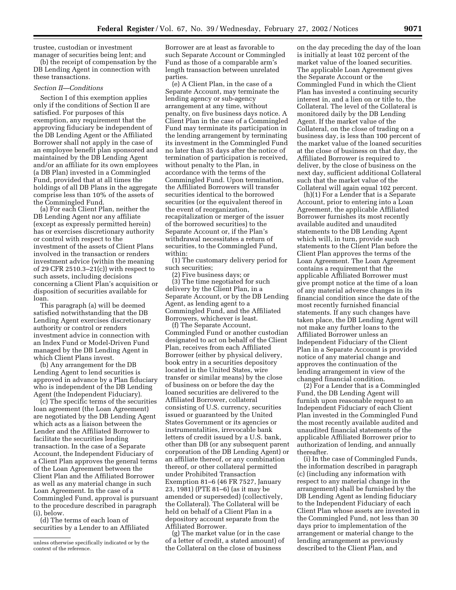trustee, custodian or investment manager of securities being lent; and

(b) the receipt of compensation by the DB Lending Agent in connection with these transactions.

#### *Section II—Conditions*

Section I of this exemption applies only if the conditions of Section II are satisfied. For purposes of this exemption, any requirement that the approving fiduciary be independent of the DB Lending Agent or the Affiliated Borrower shall not apply in the case of an employee benefit plan sponsored and maintained by the DB Lending Agent and/or an affiliate for its own employees (a DB Plan) invested in a Commingled Fund, provided that at all times the holdings of all DB Plans in the aggregate comprise less than 10% of the assets of the Commingled Fund.

(a) For each Client Plan, neither the DB Lending Agent nor any affiliate (except as expressly permitted herein) has or exercises discretionary authority or control with respect to the investment of the assets of Client Plans involved in the transaction or renders investment advice (within the meaning of 29 CFR 2510.3–21(c)) with respect to such assets, including decisions concerning a Client Plan's acquisition or disposition of securities available for loan.

This paragraph (a) will be deemed satisfied notwithstanding that the DB Lending Agent exercises discretionary authority or control or renders investment advice in connection with an Index Fund or Model-Driven Fund managed by the DB Lending Agent in which Client Plans invest.

(b) Any arrangement for the DB Lending Agent to lend securities is approved in advance by a Plan fiduciary who is independent of the DB Lending Agent (the Independent Fiduciary).

(c) The specific terms of the securities loan agreement (the Loan Agreement) are negotiated by the DB Lending Agent which acts as a liaison between the Lender and the Affiliated Borrower to facilitate the securities lending transaction. In the case of a Separate Account, the Independent Fiduciary of a Client Plan approves the general terms of the Loan Agreement between the Client Plan and the Affiliated Borrower as well as any material change in such Loan Agreement. In the case of a Commingled Fund, approval is pursuant to the procedure described in paragraph (i), below.

(d) The terms of each loan of securities by a Lender to an Affiliated

unless otherwise specifically indicated or by the context of the reference.

Borrower are at least as favorable to such Separate Account or Commingled Fund as those of a comparable arm's length transaction between unrelated parties.

(e) A Client Plan, in the case of a Separate Account, may terminate the lending agency or sub-agency arrangement at any time, without penalty, on five business days notice. A Client Plan in the case of a Commingled Fund may terminate its participation in the lending arrangement by terminating its investment in the Commingled Fund no later than 35 days after the notice of termination of participation is received, without penalty to the Plan, in accordance with the terms of the Commingled Fund. Upon termination, the Affiliated Borrowers will transfer securities identical to the borrowed securities (or the equivalent thereof in the event of reorganization, recapitalization or merger of the issuer of the borrowed securities) to the Separate Account or, if the Plan's withdrawal necessitates a return of securities, to the Commingled Fund, within:

(1) The customary delivery period for such securities;

(2) Five business days; or (3) The time negotiated for such delivery by the Client Plan, in a Separate Account, or by the DB Lending Agent, as lending agent to a Commingled Fund, and the Affiliated Borrowers, whichever is least.

(f) The Separate Account, Commingled Fund or another custodian designated to act on behalf of the Client Plan, receives from each Affiliated Borrower (either by physical delivery, book entry in a securities depository located in the United States, wire transfer or similar means) by the close of business on or before the day the loaned securities are delivered to the Affiliated Borrower, collateral consisting of U.S. currency, securities issued or guaranteed by the United States Government or its agencies or instrumentalities, irrevocable bank letters of credit issued by a U.S. bank, other than DB (or any subsequent parent corporation of the DB Lending Agent) or an affiliate thereof, or any combination thereof, or other collateral permitted under Prohibited Transaction Exemption 81–6 (46 FR 7527, January 23, 1981) (PTE 81–6) (as it may be amended or superseded) (collectively, the Collateral). The Collateral will be held on behalf of a Client Plan in a depository account separate from the Affiliated Borrower.

(g) The market value (or in the case of a letter of credit, a stated amount) of the Collateral on the close of business

on the day preceding the day of the loan is initially at least 102 percent of the market value of the loaned securities. The applicable Loan Agreement gives the Separate Account or the Commingled Fund in which the Client Plan has invested a continuing security interest in, and a lien on or title to, the Collateral. The level of the Collateral is monitored daily by the DB Lending Agent. If the market value of the Collateral, on the close of trading on a business day, is less than 100 percent of the market value of the loaned securities at the close of business on that day, the Affiliated Borrower is required to deliver, by the close of business on the next day, sufficient additional Collateral such that the market value of the Collateral will again equal 102 percent.

(h)(1) For a Lender that is a Separate Account, prior to entering into a Loan Agreement, the applicable Affiliated Borrower furnishes its most recently available audited and unaudited statements to the DB Lending Agent which will, in turn, provide such statements to the Client Plan before the Client Plan approves the terms of the Loan Agreement. The Loan Agreement contains a requirement that the applicable Affiliated Borrower must give prompt notice at the time of a loan of any material adverse changes in its financial condition since the date of the most recently furnished financial statements. If any such changes have taken place, the DB Lending Agent will not make any further loans to the Affiliated Borrower unless an Independent Fiduciary of the Client Plan in a Separate Account is provided notice of any material change and approves the continuation of the lending arrangement in view of the changed financial condition.

(2) For a Lender that is a Commingled Fund, the DB Lending Agent will furnish upon reasonable request to an Independent Fiduciary of each Client Plan invested in the Commingled Fund the most recently available audited and unaudited financial statements of the applicable Affiliated Borrower prior to authorization of lending, and annually thereafter.

(i) In the case of Commingled Funds, the information described in paragraph (c) (including any information with respect to any material change in the arrangement) shall be furnished by the DB Lending Agent as lending fiduciary to the Independent Fiduciary of each Client Plan whose assets are invested in the Commingled Fund, not less than 30 days prior to implementation of the arrangement or material change to the lending arrangement as previously described to the Client Plan, and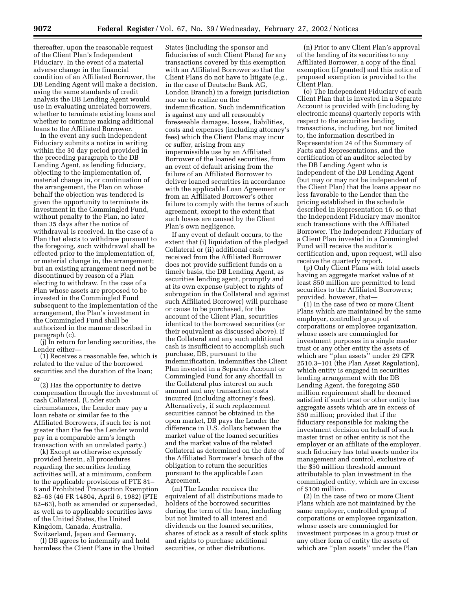thereafter, upon the reasonable request of the Client Plan's Independent Fiduciary. In the event of a material adverse change in the financial condition of an Affiliated Borrower, the DB Lending Agent will make a decision, using the same standards of credit analysis the DB Lending Agent would use in evaluating unrelated borrowers, whether to terminate existing loans and whether to continue making additional loans to the Affiliated Borrower.

In the event any such Independent Fiduciary submits a notice in writing within the 30 day period provided in the preceding paragraph to the DB Lending Agent, as lending fiduciary, objecting to the implementation of, material change in, or continuation of the arrangement, the Plan on whose behalf the objection was tendered is given the opportunity to terminate its investment in the Commingled Fund, without penalty to the Plan, no later than 35 days after the notice of withdrawal is received. In the case of a Plan that elects to withdraw pursuant to the foregoing, such withdrawal shall be effected prior to the implementation of, or material change in, the arrangement; but an existing arrangement need not be discontinued by reason of a Plan electing to withdraw. In the case of a Plan whose assets are proposed to be invested in the Commingled Fund subsequent to the implementation of the arrangement, the Plan's investment in the Commingled Fund shall be authorized in the manner described in paragraph (c).

(j) In return for lending securities, the Lender either—

(1) Receives a reasonable fee, which is related to the value of the borrowed securities and the duration of the loan; or

(2) Has the opportunity to derive compensation through the investment of cash Collateral. (Under such circumstances, the Lender may pay a loan rebate or similar fee to the Affiliated Borrowers, if such fee is not greater than the fee the Lender would pay in a comparable arm's length transaction with an unrelated party.)

(k) Except as otherwise expressly provided herein, all procedures regarding the securities lending activities will, at a minimum, conform to the applicable provisions of PTE 81– 6 and Prohibited Transaction Exemption 82–63 (46 FR 14804, April 6, 1982) (PTE 82–63), both as amended or superseded, as well as to applicable securities laws of the United States, the United Kingdom, Canada, Australia, Switzerland, Japan and Germany.

(l) DB agrees to indemnify and hold harmless the Client Plans in the United

States (including the sponsor and fiduciaries of such Client Plans) for any transactions covered by this exemption with an Affiliated Borrower so that the Client Plans do not have to litigate (*e.g.*, in the case of Deutsche Bank AG, London Branch) in a foreign jurisdiction nor sue to realize on the indemnification. Such indemnification is against any and all reasonably foreseeable damages, losses, liabilities, costs and expenses (including attorney's fees) which the Client Plans may incur or suffer, arising from any impermissible use by an Affiliated Borrower of the loaned securities, from an event of default arising from the failure of an Affiliated Borrower to deliver loaned securities in accordance with the applicable Loan Agreement or from an Affiliated Borrower's other failure to comply with the terms of such agreement, except to the extent that such losses are caused by the Client Plan's own negligence.

If any event of default occurs, to the extent that (i) liquidation of the pledged Collateral or (ii) additional cash received from the Affiliated Borrower does not provide sufficient funds on a timely basis, the DB Lending Agent, as securities lending agent, promptly and at its own expense (subject to rights of subrogation in the Collateral and against such Affiliated Borrower) will purchase or cause to be purchased, for the account of the Client Plan, securities identical to the borrowed securities (or their equivalent as discussed above). If the Collateral and any such additional cash is insufficient to accomplish such purchase, DB, pursuant to the indemnification, indemnifies the Client Plan invested in a Separate Account or Commingled Fund for any shortfall in the Collateral plus interest on such amount and any transaction costs incurred (including attorney's fees). Alternatively, if such replacement securities cannot be obtained in the open market, DB pays the Lender the difference in U.S. dollars between the market value of the loaned securities and the market value of the related Collateral as determined on the date of the Affiliated Borrower's breach of the obligation to return the securities pursuant to the applicable Loan Agreement.

(m) The Lender receives the equivalent of all distributions made to holders of the borrowed securities during the term of the loan, including but not limited to all interest and dividends on the loaned securities, shares of stock as a result of stock splits and rights to purchase additional securities, or other distributions.

(n) Prior to any Client Plan's approval of the lending of its securities to any Affiliated Borrower, a copy of the final exemption (if granted) and this notice of proposed exemption is provided to the Client Plan.

(o) The Independent Fiduciary of each Client Plan that is invested in a Separate Account is provided with (including by electronic means) quarterly reports with respect to the securities lending transactions, including, but not limited to, the information described in Representation 24 of the Summary of Facts and Representations, and the certification of an auditor selected by the DB Lending Agent who is independent of the DB Lending Agent (but may or may not be independent of the Client Plan) that the loans appear no less favorable to the Lender than the pricing established in the schedule described in Representation 16, so that the Independent Fiduciary may monitor such transactions with the Affiliated Borrower. The Independent Fiduciary of a Client Plan invested in a Commingled Fund will receive the auditor's certification and, upon request, will also receive the quarterly report.

(p) Only Client Plans with total assets having an aggregate market value of at least \$50 million are permitted to lend securities to the Affiliated Borrowers; provided, however, that—

(1) In the case of two or more Client Plans which are maintained by the same employer, controlled group of corporations or employee organization, whose assets are commingled for investment purposes in a single master trust or any other entity the assets of which are ''plan assets'' under 29 CFR 2510.3–101 (the Plan Asset Regulation), which entity is engaged in securities lending arrangement with the DB Lending Agent, the foregoing \$50 million requirement shall be deemed satisfied if such trust or other entity has aggregate assets which are in excess of \$50 million; provided that if the fiduciary responsible for making the investment decision on behalf of such master trust or other entity is not the employer or an affiliate of the employer, such fiduciary has total assets under its management and control, exclusive of the \$50 million threshold amount attributable to plan investment in the commingled entity, which are in excess of \$100 million.

(2) In the case of two or more Client Plans which are not maintained by the same employer, controlled group of corporations or employee organization, whose assets are commingled for investment purposes in a group trust or any other form of entity the assets of which are ''plan assets'' under the Plan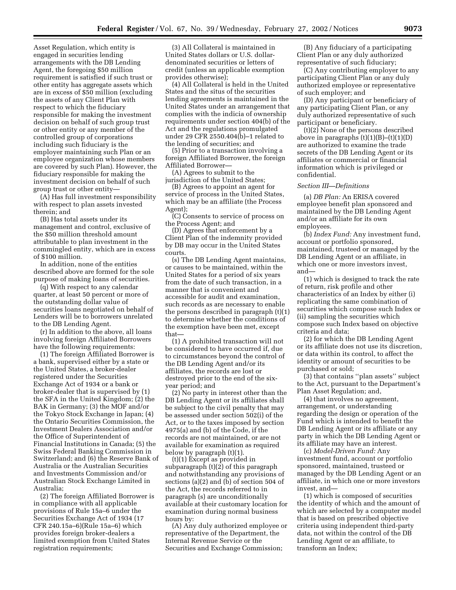Asset Regulation, which entity is engaged in securities lending arrangements with the DB Lending Agent, the foregoing \$50 million requirement is satisfied if such trust or other entity has aggregate assets which are in excess of \$50 million (excluding the assets of any Client Plan with respect to which the fiduciary responsible for making the investment decision on behalf of such group trust or other entity or any member of the controlled group of corporations including such fiduciary is the employer maintaining such Plan or an employee organization whose members are covered by such Plan). However, the fiduciary responsible for making the investment decision on behalf of such group trust or other entity—

(A) Has full investment responsibility with respect to plan assets invested therein; and

(B) Has total assets under its management and control, exclusive of the \$50 million threshold amount attributable to plan investment in the commingled entity, which are in excess of \$100 million.

In addition, none of the entities described above are formed for the sole purpose of making loans of securities.

(q) With respect to any calendar quarter, at least 50 percent or more of the outstanding dollar value of securities loans negotiated on behalf of Lenders will be to borrowers unrelated to the DB Lending Agent.

(r) In addition to the above, all loans involving foreign Affiliated Borrowers have the following requirements:

(1) The foreign Affiliated Borrower is a bank, supervised either by a state or the United States, a broker-dealer registered under the Securities Exchange Act of 1934 or a bank or broker-dealer that is supervised by (1) the SFA in the United Kingdom; (2) the BAK in Germany; (3) the MOF and/or the Tokyo Stock Exchange in Japan; (4) the Ontario Securities Commission, the Investment Dealers Association and/or the Office of Superintendent of Financial Institutions in Canada; (5) the Swiss Federal Banking Commission in Switzerland; and (6) the Reserve Bank of Australia or the Australian Securities and Investments Commission and/or Australian Stock Exchange Limited in Australia;

(2) The foreign Affiliated Borrower is in compliance with all applicable provisions of Rule 15a–6 under the Securities Exchange Act of 1934 (17 CFR 240.15a–6)(Rule 15a–6) which provides foreign broker-dealers a limited exemption from United States registration requirements;

(3) All Collateral is maintained in United States dollars or U.S. dollardenominated securities or letters of credit (unless an applicable exemption provides otherwise);

(4) All Collateral is held in the United States and the situs of the securities lending agreements is maintained in the United States under an arrangement that complies with the indicia of ownership requirements under section 404(b) of the Act and the regulations promulgated under 29 CFR 2550.404(b)–1 related to the lending of securities; and

(5) Prior to a transaction involving a foreign Affiliated Borrower, the foreign Affiliated Borrower—

(A) Agrees to submit to the jurisdiction of the United States;

(B) Agrees to appoint an agent for service of process in the United States, which may be an affiliate (the Process Agent);

(C) Consents to service of process on the Process Agent; and

(D) Agrees that enforcement by a Client Plan of the indemnity provided by DB may occur in the United States courts.

(s) The DB Lending Agent maintains, or causes to be maintained, within the United States for a period of six years from the date of such transaction, in a manner that is convenient and accessible for audit and examination, such records as are necessary to enable the persons described in paragraph (t)(1) to determine whether the conditions of the exemption have been met, except that—

(1) A prohibited transaction will not be considered to have occurred if, due to circumstances beyond the control of the DB Lending Agent and/or its affiliates, the records are lost or destroyed prior to the end of the sixyear period; and

(2) No party in interest other than the DB Lending Agent or its affiliates shall be subject to the civil penalty that may be assessed under section 502(i) of the Act, or to the taxes imposed by section 4975(a) and (b) of the Code, if the records are not maintained, or are not available for examination as required below by paragraph (t)(1).

(t)(1) Except as provided in subparagraph (t)(2) of this paragraph and notwithstanding any provisions of sections (a)(2) and (b) of section 504 of the Act, the records referred to in paragraph (s) are unconditionally available at their customary location for examination during normal business hours by:

(A) Any duly authorized employee or representative of the Department, the Internal Revenue Service or the Securities and Exchange Commission;

(B) Any fiduciary of a participating Client Plan or any duly authorized representative of such fiduciary;

(C) Any contributing employer to any participating Client Plan or any duly authorized employee or representative of such employer; and

(D) Any participant or beneficiary of any participating Client Plan, or any duly authorized representative of such participant or beneficiary.

(t)(2) None of the persons described above in paragraphs  $(t)(1)(B)$ – $(t)(1)(D)$ are authorized to examine the trade secrets of the DB Lending Agent or its affiliates or commercial or financial information which is privileged or confidential.

#### *Section III—Definitions*

(a) *DB Plan:* An ERISA covered employee benefit plan sponsored and maintained by the DB Lending Agent and/or an affiliate for its own employees.

(b) *Index Fund:* Any investment fund, account or portfolio sponsored, maintained, trusteed or managed by the DB Lending Agent or an affiliate, in which one or more investors invest, and—

(1) which is designed to track the rate of return, risk profile and other characteristics of an Index by either (i) replicating the same combination of securities which compose such Index or (ii) sampling the securities which compose such Index based on objective criteria and data;

(2) for which the DB Lending Agent or its affiliate does not use its discretion, or data within its control, to affect the identity or amount of securities to be purchased or sold;

(3) that contains ''plan assets'' subject to the Act, pursuant to the Department's Plan Asset Regulation; and,

(4) that involves no agreement, arrangement, or understanding regarding the design or operation of the Fund which is intended to benefit the DB Lending Agent or its affiliate or any party in which the DB Lending Agent or its affiliate may have an interest.

(c) *Model-Driven Fund:* Any investment fund, account or portfolio sponsored, maintained, trusteed or managed by the DB Lending Agent or an affiliate, in which one or more investors invest, and—

(1) which is composed of securities the identity of which and the amount of which are selected by a computer model that is based on prescribed objective criteria using independent third-party data, not within the control of the DB Lending Agent or an affiliate, to transform an Index;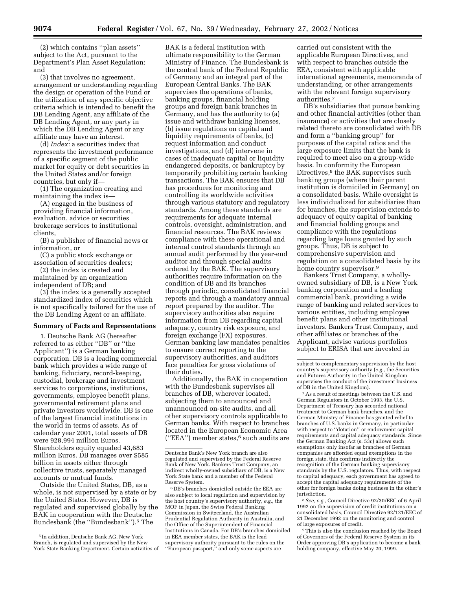(2) which contains ''plan assets'' subject to the Act, pursuant to the Department's Plan Asset Regulation; and

(3) that involves no agreement, arrangement or understanding regarding the design or operation of the Fund or the utilization of any specific objective criteria which is intended to benefit the DB Lending Agent, any affiliate of the DB Lending Agent, or any party in which the DB Lending Agent or any affiliate may have an interest.

(d) *Index:* a securities index that represents the investment performance of a specific segment of the public market for equity or debt securities in the United States and/or foreign countries, but only if—

(1) The organization creating and maintaining the index is—

(A) engaged in the business of providing financial information, evaluation, advice or securities brokerage services to institutional clients,

(B) a publisher of financial news or information, or

(C) a public stock exchange or association of securities dealers;

(2) the index is created and maintained by an organization independent of DB; and

(3) the index is a generally accepted standardized index of securities which is not specifically tailored for the use of the DB Lending Agent or an affiliate.

#### **Summary of Facts and Representations**

1. Deutsche Bank AG (hereafter referred to as either ''DB'' or ''the Applicant'') is a German banking corporation. DB is a leading commercial bank which provides a wide range of banking, fiduciary, record-keeping, custodial, brokerage and investment services to corporations, institutions, governments, employee benefit plans, governmental retirement plans and private investors worldwide. DB is one of the largest financial institutions in the world in terms of assets. As of calendar year 2001, total assets of DB were 928,994 million Euros. Shareholders equity equaled 43,683 million Euros. DB manages over \$585 billion in assets either through collective trusts, separately managed accounts or mutual funds.

Outside the United States, DB, as a whole, is not supervised by a state or by the United States. However, DB is regulated and supervised globally by the BAK in cooperation with the Deutsche Bundesbank (the ''Bundesbank'').5 The

BAK is a federal institution with ultimate responsibility to the German Ministry of Finance. The Bundesbank is the central bank of the Federal Republic of Germany and an integral part of the European Central Banks. The BAK supervises the operations of banks, banking groups, financial holding groups and foreign bank branches in Germany, and has the authority to (a) issue and withdraw banking licenses, (b) issue regulations on capital and liquidity requirements of banks, (c) request information and conduct investigations, and (d) intervene in cases of inadequate capital or liquidity endangered deposits, or bankruptcy by temporarily prohibiting certain banking transactions. The BAK ensures that DB has procedures for monitoring and controlling its worldwide activities through various statutory and regulatory standards. Among these standards are requirements for adequate internal controls, oversight, administration, and financial resources. The BAK reviews compliance with these operational and internal control standards through an annual audit performed by the year-end auditor and through special audits ordered by the BAK. The supervisory authorities require information on the condition of DB and its branches through periodic, consolidated financial reports and through a mandatory annual report prepared by the auditor. The supervisory authorities also require information from DB regarding capital adequacy, country risk exposure, and foreign exchange (FX) exposures. German banking law mandates penalties to ensure correct reporting to the supervisory authorities, and auditors face penalties for gross violations of their duties.

Additionally, the BAK in cooperation with the Bundesbank supervises all branches of DB, wherever located, subjecting them to announced and unannounced on-site audits, and all other supervisory controls applicable to German banks. With respect to branches located in the European Economic Area (''EEA'') member states,6 such audits are

carried out consistent with the applicable European Directives, and with respect to branches outside the EEA, consistent with applicable international agreements, memoranda of understanding, or other arrangements with the relevant foreign supervisory authorities.7

DB's subsidiaries that pursue banking and other financial activities (other than insurance) or activities that are closely related thereto are consolidated with DB and form a ''banking group'' for purposes of the capital ratios and the large exposure limits that the bank is required to meet also on a group-wide basis. In conformity the European Directives,<sup>8</sup> the BAK supervises such banking groups (where their parent institution is domiciled in Germany) on a consolidated basis. While oversight is less individualized for subsidiaries than for branches, the supervision extends to adequacy of equity capital of banking and financial holding groups and compliance with the regulations regarding large loans granted by such groups. Thus, DB is subject to comprehensive supervision and regulation on a consolidated basis by its home country supervisor.<sup>9</sup>

Bankers Trust Company, a whollyowned subsidiary of DB, is a New York banking corporation and a leading commercial bank, providing a wide range of banking and related services to various entities, including employee benefit plans and other institutional investors. Bankers Trust Company, and other affiliates or branches of the Applicant, advise various portfolios subject to ERISA that are invested in

7As a result of meetings between the U.S. and German Regulators in October 1993, the U.S. Department of Treasury has accorded national treatment to German bank branches, and the German Ministry of Finance has granted relief to branches of U.S. banks in Germany, in particular with respect to ''dotation'' or endowment capital requirements and capital adequacy standards. Since the German Banking Act (s. 53c) allows such exemptions only insofar as branches of German companies are afforded equal exemptions in the foreign state, this confirms indirectly the recognition of the German banking supervisory standards by the U.S. regulators. Thus, with respect to capital adequacy, each government has agreed to accept the capital adequacy requirements of the other for foreign banks doing business in the other's jurisdiction.

8*See, e.g.,* Council Directive 92/30/EEC of 6 April 1992 on the supervision of credit institutions on a consolidated basis, Council Directive 92/121/EEC of 21 December 1992 on the monitoring and control of large exposures of credit.

9This is also the conclusion reached by the Board of Governors of the Federal Reserve System in its Order approving DB's application to become a bank holding company, effective May 20, 1999.

<sup>5</sup> In addition, Deutsche Bank AG, New York Branch, is regulated and supervised by the New York State Banking Department. Certain activities of

Deutsche Bank's New York branch are also regulated and supervised by the Federal Reserve Bank of New York. Bankers Trust Company, an indirect wholly-owned subsidiary of DB, is a New York State bank and a member of the Federal Reserve System.

<sup>6</sup> DB's branches domiciled outside the EEA are also subject to local regulation and supervision by the host country's supervisory authority, *e.g.,* the MOF in Japan, the Swiss Federal Banking Commission in Switzerland, the Australian Prudential Regulation Authority in Australia, and the Office of the Superintendent of Financial Institutions in Canada. For DB's branches domiciled in EEA member states, the BAK is the lead supervisory authority pursuant to the rules on the ''European passport,'' and only some aspects are

subject to complementary supervision by the host country's supervisory authority (*e.g.,* the Securities and Futures Authority in the United Kingdom supervises the conduct of the investment business of DB in the United Kingdom).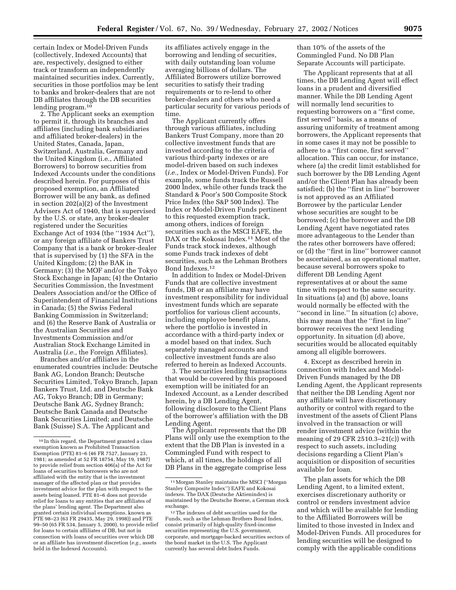certain Index or Model-Driven Funds (collectively, Indexed Accounts) that are, respectively, designed to either track or transform an independently maintained securities index. Currently, securities in those portfolios may be lent to banks and broker-dealers that are not DB affiliates through the DB securities lending program.10

2. The Applicant seeks an exemption to permit it, through its branches and affiliates (including bank subsidiaries and affiliated broker-dealers) in the United States, Canada, Japan, Switzerland, Australia, Germany and the United Kingdom (i.e., Affiliated Borrowers) to borrow securities from Indexed Accounts under the conditions described herein. For purposes of this proposed exemption, an Affiliated Borrower will be any bank, as defined in section 202(a)(2) of the Investment Advisers Act of 1940, that is supervised by the U.S. or state, any broker-dealer registered under the Securities Exchange Act of 1934 (the ''1934 Act''), or any foreign affiliate of Bankers Trust Company that is a bank or broker-dealer that is supervised by (1) the SFA in the United Kingdom; (2) the BAK in Germany; (3) the MOF and/or the Tokyo Stock Exchange in Japan; (4) the Ontario Securities Commission, the Investment Dealers Association and/or the Office of Superintendent of Financial Institutions in Canada; (5) the Swiss Federal Banking Commission in Switzerland; and (6) the Reserve Bank of Australia or the Australian Securities and Investments Commission and/or Australian Stock Exchange Limited in Australia (*i.e.,* the Foreign Affiliates).

Branches and/or affiliates in the enumerated countries include: Deutsche Bank AG, London Branch; Deutsche Securities Limited, Tokyo Branch, Japan Bankers Trust, Ltd. and Deutsche Bank AG, Tokyo Branch; DB in Germany; Deutsche Bank AG, Sydney Branch; Deutsche Bank Canada and Deutsche Bank Securities Limited; and Deutsche Bank (Suisse) S.A. The Applicant and

its affiliates actively engage in the borrowing and lending of securities, with daily outstanding loan volume averaging billions of dollars. The Affiliated Borrowers utilize borrowed securities to satisfy their trading requirements or to re-lend to other broker-dealers and others who need a particular security for various periods of time.

The Applicant currently offers through various affiliates, including Bankers Trust Company, more than 20 collective investment funds that are invested according to the criteria of various third-party indexes or are model-driven based on such indexes (*i.e.,* Index or Model-Driven Funds). For example, some funds track the Russell 2000 Index, while other funds track the Standard & Poor's 500 Composite Stock Price Index (the S&P 500 Index). The Index or Model-Driven Funds pertinent to this requested exemption track, among others, indices of foreign securities such as the MSCI EAFE, the DAX or the Kokosai Index.11 Most of the Funds track stock indexes, although some Funds track indexes of debt securities, such as the Lehman Brothers Bond Indexes.12

In addition to Index or Model-Driven Funds that are collective investment funds, DB or an affiliate may have investment responsibility for individual investment funds which are separate portfolios for various client accounts, including employee benefit plans, where the portfolio is invested in accordance with a third-party index or a model based on that index. Such separately managed accounts and collective investment funds are also referred to herein as Indexed Accounts.

3. The securities lending transactions that would be covered by this proposed exemption will be initiated for an Indexed Account, as a Lender described herein, by a DB Lending Agent, following disclosure to the Client Plans of the borrower's affiliation with the DB Lending Agent.

The Applicant represents that the DB Plans will only use the exemption to the extent that the DB Plan is invested in a Commingled Fund with respect to which, at all times, the holdings of all DB Plans in the aggregate comprise less

than 10% of the assets of the Commingled Fund. No DB Plan Separate Accounts will participate.

The Applicant represents that at all times, the DB Lending Agent will effect loans in a prudent and diversified manner. While the DB Lending Agent will normally lend securities to requesting borrowers on a ''first come, first served'' basis, as a means of assuring uniformity of treatment among borrowers, the Applicant represents that in some cases it may not be possible to adhere to a ''first come, first served'' allocation. This can occur, for instance, where (a) the credit limit established for such borrower by the DB Lending Agent and/or the Client Plan has already been satisfied; (b) the ''first in line'' borrower is not approved as an Affiliated Borrower by the particular Lender whose securities are sought to be borrowed; (c) the borrower and the DB Lending Agent have negotiated rates more advantageous to the Lender than the rates other borrowers have offered; or (d) the ''first in line'' borrower cannot be ascertained, as an operational matter, because several borrowers spoke to different DB Lending Agent representatives at or about the same time with respect to the same security. In situations (a) and (b) above, loans would normally be effected with the ''second in line.'' In situation (c) above, this may mean that the ''first in line'' borrower receives the next lending opportunity. In situation (d) above, securities would be allocated equitably among all eligible borrowers.

4. Except as described herein in connection with Index and Model-Driven Funds managed by the DB Lending Agent, the Applicant represents that neither the DB Lending Agent nor any affiliate will have discretionary authority or control with regard to the investment of the assets of Client Plans involved in the transaction or will render investment advice (within the meaning of 29 CFR 2510.3–21(c)) with respect to such assets, including decisions regarding a Client Plan's acquisition or disposition of securities available for loan.

The plan assets for which the DB Lending Agent, to a limited extent, exercises discretionary authority or control or renders investment advice and which will be available for lending to the Affiliated Borrowers will be limited to those invested in Index and Model-Driven Funds. All procedures for lending securities will be designed to comply with the applicable conditions

<sup>10</sup> In this regard, the Department granted a class exemption known as Prohibited Transaction Exemption (PTE) 81–6 (46 FR 7527, January 23, 1981; as amended at 52 FR 18754, May 19, 1987) to provide relief from section 406(a) of the Act for loans of securities to borrowers who are not affiliated with the entity that is the investment manager of the affected plan or that provides investment advice for the plan with respect to the assets being loaned. PTE 81–6 does not provide relief for loans to any entities that are affiliates of the plans' lending agent. The Department also granted certain individual exemptions, known as PTE 98–23 (63 FR 29435, May 29, 1998)) and PTE 99–50 (65 FR 534, January 5, 2000), to provide relief for loans to certain affiliates of DB, but not in connection with loans of securities over which DB or an affiliate has investment discretion (*e.g.,* assets held in the Indexed Accounts).

<sup>11</sup>Morgan Stanley maintains the MSCI (''Morgan Stanley Composite Index'') EAFE and Kokosai indexes. The DAX (Deutsche Aktienindex) is maintained by the Deutsche Boerse, a German stock exchange.

<sup>12</sup>The indexes of debt securities used for the Funds, such as the Lehman Brothers Bond Index, consist primarily of high-quality fixed-income securities representing the U.S. government, corporate, and mortgage-backed securities sectors of the bond market in the U.S. The Applicant currently has several debt Index Funds.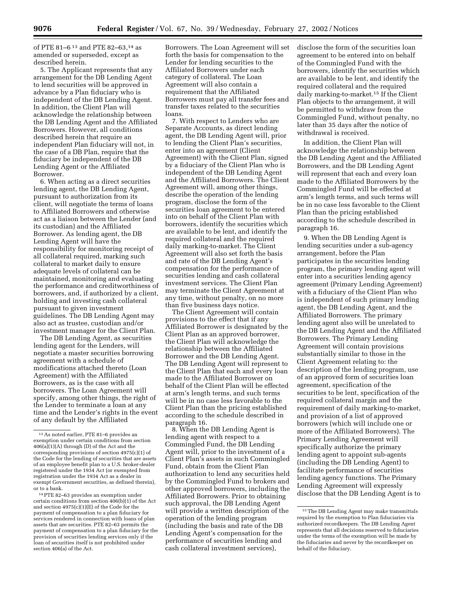of PTE 81–6 13 and PTE 82–63,14 as amended or superseded, except as described herein.

5. The Applicant represents that any arrangement for the DB Lending Agent to lend securities will be approved in advance by a Plan fiduciary who is independent of the DB Lending Agent. In addition, the Client Plan will acknowledge the relationship between the DB Lending Agent and the Affiliated Borrowers. However, all conditions described herein that require an independent Plan fiduciary will not, in the case of a DB Plan, require that the fiduciary be independent of the DB Lending Agent or the Affiliated Borrower.

6. When acting as a direct securities lending agent, the DB Lending Agent, pursuant to authorization from its client, will negotiate the terms of loans to Affiliated Borrowers and otherwise act as a liaison between the Lender (and its custodian) and the Affiliated Borrower. As lending agent, the DB Lending Agent will have the responsibility for monitoring receipt of all collateral required, marking such collateral to market daily to ensure adequate levels of collateral can be maintained, monitoring and evaluating the performance and creditworthiness of borrowers, and, if authorized by a client, holding and investing cash collateral pursuant to given investment guidelines. The DB Lending Agent may also act as trustee, custodian and/or investment manager for the Client Plan.

The DB Lending Agent, as securities lending agent for the Lenders, will negotiate a master securities borrowing agreement with a schedule of modifications attached thereto (Loan Agreement) with the Affiliated Borrowers, as is the case with all borrowers. The Loan Agreement will specify, among other things, the right of the Lender to terminate a loan at any time and the Lender's rights in the event of any default by the Affiliated

Borrowers. The Loan Agreement will set forth the basis for compensation to the Lender for lending securities to the Affiliated Borrowers under each category of collateral. The Loan Agreement will also contain a requirement that the Affiliated Borrowers must pay all transfer fees and transfer taxes related to the securities loans.

7. With respect to Lenders who are Separate Accounts, as direct lending agent, the DB Lending Agent will, prior to lending the Client Plan's securities, enter into an agreement (Client Agreement) with the Client Plan, signed by a fiduciary of the Client Plan who is independent of the DB Lending Agent and the Affiliated Borrowers. The Client Agreement will, among other things, describe the operation of the lending program, disclose the form of the securities loan agreement to be entered into on behalf of the Client Plan with borrowers, identify the securities which are available to be lent, and identify the required collateral and the required daily marking-to-market. The Client Agreement will also set forth the basis and rate of the DB Lending Agent's compensation for the performance of securities lending and cash collateral investment services. The Client Plan may terminate the Client Agreement at any time, without penalty, on no more than five business days notice.

The Client Agreement will contain provisions to the effect that if any Affiliated Borrower is designated by the Client Plan as an approved borrower, the Client Plan will acknowledge the relationship between the Affiliated Borrower and the DB Lending Agent. The DB Lending Agent will represent to the Client Plan that each and every loan made to the Affiliated Borrower on behalf of the Client Plan will be effected at arm's length terms, and such terms will be in no case less favorable to the Client Plan than the pricing established according to the schedule described in paragraph 16.

8. When the DB Lending Agent is lending agent with respect to a Commingled Fund, the DB Lending Agent will, prior to the investment of a Client Plan's assets in such Commingled Fund, obtain from the Client Plan authorization to lend any securities held by the Commingled Fund to brokers and other approved borrowers, including the Affiliated Borrowers. Prior to obtaining such approval, the DB Lending Agent will provide a written description of the operation of the lending program (including the basis and rate of the DB Lending Agent's compensation for the performance of securities lending and cash collateral investment services),

disclose the form of the securities loan agreement to be entered into on behalf of the Commingled Fund with the borrowers, identify the securities which are available to be lent, and identify the required collateral and the required daily marking-to-market.15 If the Client Plan objects to the arrangement, it will be permitted to withdraw from the Commingled Fund, without penalty, no later than 35 days after the notice of withdrawal is received.

In addition, the Client Plan will acknowledge the relationship between the DB Lending Agent and the Affiliated Borrowers, and the DB Lending Agent will represent that each and every loan made to the Affiliated Borrowers by the Commingled Fund will be effected at arm's length terms, and such terms will be in no case less favorable to the Client Plan than the pricing established according to the schedule described in paragraph 16.

9. When the DB Lending Agent is lending securities under a sub-agency arrangement, before the Plan participates in the securities lending program, the primary lending agent will enter into a securities lending agency agreement (Primary Lending Agreement) with a fiduciary of the Client Plan who is independent of such primary lending agent, the DB Lending Agent, and the Affiliated Borrowers. The primary lending agent also will be unrelated to the DB Lending Agent and the Affiliated Borrowers. The Primary Lending Agreement will contain provisions substantially similar to those in the Client Agreement relating to: the description of the lending program, use of an approved form of securities loan agreement, specification of the securities to be lent, specification of the required collateral margin and the requirement of daily marking-to-market, and provision of a list of approved borrowers (which will include one or more of the Affiliated Borrowers). The Primary Lending Agreement will specifically authorize the primary lending agent to appoint sub-agents (including the DB Lending Agent) to facilitate performance of securities lending agency functions. The Primary Lending Agreement will expressly disclose that the DB Lending Agent is to

<sup>13</sup>As noted earlier, PTE 81–6 provides an exemption under certain conditions from section  $406(a)(1)(A)$  through (D) of the Act and the corresponding provisions of section 4975(c)(1) of the Code for the lending of securities that are assets of an employee benefit plan to a U.S. broker-dealer registered under the 1934 Act (or exempted from registration under the 1934 Act as a dealer in exempt Government securities, as defined therein), or to a bank.

<sup>14</sup>PTE 82–63 provides an exemption under certain conditions from section 406(b)(1) of the Act and section 4975(c)(1)(E) of the Code for the payment of compensation to a plan fiduciary for services rendered in connection with loans of plan assets that are securities. PTE 82–63 permits the payment of compensation to a plan fiduciary for the provision of securities lending services only if the loan of securities itself is not prohibited under section 406(a) of the Act.

<sup>&</sup>lt;sup>15</sup> The DB Lending Agent may make transmittals required by the exemption to Plan fiduciaries via authorized recordkeepers. The DB Lending Agent represents that all decisions reserved to fiduciaries under the terms of the exemption will be made by the fiduciaries and never by the recordkeeper on behalf of the fiduciary.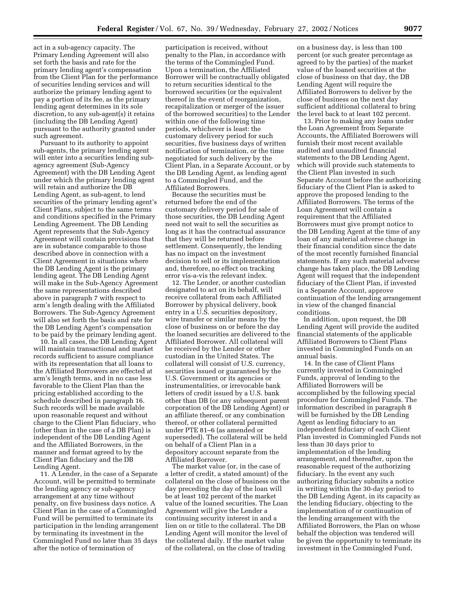act in a sub-agency capacity. The Primary Lending Agreement will also set forth the basis and rate for the primary lending agent's compensation from the Client Plan for the performance of securities lending services and will authorize the primary lending agent to pay a portion of its fee, as the primary lending agent determines in its sole discretion, to any sub-agent(s) it retains (including the DB Lending Agent) pursuant to the authority granted under such agreement.

Pursuant to its authority to appoint sub-agents, the primary lending agent will enter into a securities lending subagency agreement (Sub-Agency Agreement) with the DB Lending Agent under which the primary lending agent will retain and authorize the DB Lending Agent, as sub-agent, to lend securities of the primary lending agent's Client Plans, subject to the same terms and conditions specified in the Primary Lending Agreement. The DB Lending Agent represents that the Sub-Agency Agreement will contain provisions that are in substance comparable to those described above in connection with a Client Agreement in situations where the DB Lending Agent is the primary lending agent. The DB Lending Agent will make in the Sub-Agency Agreement the same representations described above in paragraph 7 with respect to arm's length dealing with the Affiliated Borrowers. The Sub-Agency Agreement will also set forth the basis and rate for the DB Lending Agent's compensation to be paid by the primary lending agent.

10. In all cases, the DB Lending Agent will maintain transactional and market records sufficient to assure compliance with its representation that all loans to the Affiliated Borrowers are effected at arm's length terms, and in no case less favorable to the Client Plan than the pricing established according to the schedule described in paragraph 16. Such records will be made available upon reasonable request and without charge to the Client Plan fiduciary, who (other than in the case of a DB Plan) is independent of the DB Lending Agent and the Affiliated Borrowers, in the manner and format agreed to by the Client Plan fiduciary and the DB Lending Agent.

11. A Lender, in the case of a Separate Account, will be permitted to terminate the lending agency or sub-agency arrangement at any time without penalty, on five business days notice. A Client Plan in the case of a Commingled Fund will be permitted to terminate its participation in the lending arrangement by terminating its investment in the Commingled Fund no later than 35 days after the notice of termination of

participation is received, without penalty to the Plan, in accordance with the terms of the Commingled Fund. Upon a termination, the Affiliated Borrower will be contractually obligated to return securities identical to the borrowed securities (or the equivalent thereof in the event of reorganization, recapitalization or merger of the issuer of the borrowed securities) to the Lender within one of the following time periods, whichever is least: the customary delivery period for such securities, five business days of written notification of termination, or the time negotiated for such delivery by the Client Plan, in a Separate Account, or by the DB Lending Agent, as lending agent to a Commingled Fund, and the Affiliated Borrowers.

Because the securities must be returned before the end of the customary delivery period for sale of those securities, the DB Lending Agent need not wait to sell the securities as long as it has the contractual assurance that they will be returned before settlement. Consequently, the lending has no impact on the investment decision to sell or its implementation and, therefore, no effect on tracking error vis-a-vis the relevant index.

12. The Lender, or another custodian designated to act on its behalf, will receive collateral from each Affiliated Borrower by physical delivery, book entry in a U.S. securities depository, wire transfer or similar means by the close of business on or before the day the loaned securities are delivered to the Affiliated Borrower. All collateral will be received by the Lender or other custodian in the United States. The collateral will consist of U.S. currency, securities issued or guaranteed by the U.S. Government or its agencies or instrumentalities, or irrevocable bank letters of credit issued by a U.S. bank other than DB (or any subsequent parent corporation of the DB Lending Agent) or an affiliate thereof, or any combination thereof, or other collateral permitted under PTE 81–6 (as amended or superseded). The collateral will be held on behalf of a Client Plan in a depository account separate from the Affiliated Borrower.

The market value (or, in the case of a letter of credit, a stated amount) of the collateral on the close of business on the day preceding the day of the loan will be at least 102 percent of the market value of the loaned securities. The Loan Agreement will give the Lender a continuing security interest in and a lien on or title to the collateral. The DB Lending Agent will monitor the level of the collateral daily. If the market value of the collateral, on the close of trading

on a business day, is less than 100 percent (or such greater percentage as agreed to by the parties) of the market value of the loaned securities at the close of business on that day, the DB Lending Agent will require the Affiliated Borrowers to deliver by the close of business on the next day sufficient additional collateral to bring the level back to at least 102 percent.

13. Prior to making any loans under the Loan Agreement from Separate Accounts, the Affiliated Borrowers will furnish their most recent available audited and unaudited financial statements to the DB Lending Agent, which will provide such statements to the Client Plan invested in such Separate Account before the authorizing fiduciary of the Client Plan is asked to approve the proposed lending to the Affiliated Borrowers. The terms of the Loan Agreement will contain a requirement that the Affiliated Borrowers must give prompt notice to the DB Lending Agent at the time of any loan of any material adverse change in their financial condition since the date of the most recently furnished financial statements. If any such material adverse change has taken place, the DB Lending Agent will request that the independent fiduciary of the Client Plan, if invested in a Separate Account, approve continuation of the lending arrangement in view of the changed financial conditions.

In addition, upon request, the DB Lending Agent will provide the audited financial statements of the applicable Affiliated Borrowers to Client Plans invested in Commingled Funds on an annual basis.

14. In the case of Client Plans currently invested in Commingled Funds, approval of lending to the Affiliated Borrowers will be accomplished by the following special procedure for Commingled Funds. The information described in paragraph 8 will be furnished by the DB Lending Agent as lending fiduciary to an independent fiduciary of each Client Plan invested in Commingled Funds not less than 30 days prior to implementation of the lending arrangement, and thereafter, upon the reasonable request of the authorizing fiduciary. In the event any such authorizing fiduciary submits a notice in writing within the 30-day period to the DB Lending Agent, in its capacity as the lending fiduciary, objecting to the implementation of or continuation of the lending arrangement with the Affiliated Borrowers, the Plan on whose behalf the objection was tendered will be given the opportunity to terminate its investment in the Commingled Fund,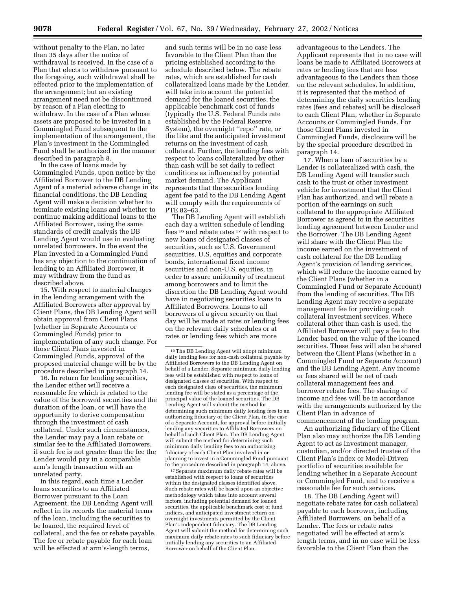without penalty to the Plan, no later than 35 days after the notice of withdrawal is received. In the case of a Plan that elects to withdraw pursuant to the foregoing, such withdrawal shall be effected prior to the implementation of the arrangement; but an existing arrangement need not be discontinued by reason of a Plan electing to withdraw. In the case of a Plan whose assets are proposed to be invested in a Commingled Fund subsequent to the implementation of the arrangement, the Plan's investment in the Commingled Fund shall be authorized in the manner described in paragraph 8.

In the case of loans made by Commingled Funds, upon notice by the Affiliated Borrower to the DB Lending Agent of a material adverse change in its financial conditions, the DB Lending Agent will make a decision whether to terminate existing loans and whether to continue making additional loans to the Affiliated Borrower, using the same standards of credit analysis the DB Lending Agent would use in evaluating unrelated borrowers. In the event the Plan invested in a Commingled Fund has any objection to the continuation of lending to an Affiliated Borrower, it may withdraw from the fund as described above.

15. With respect to material changes in the lending arrangement with the Affiliated Borrowers after approval by Client Plans, the DB Lending Agent will obtain approval from Client Plans (whether in Separate Accounts or Commingled Funds) prior to implementation of any such change. For those Client Plans invested in Commingled Funds, approval of the proposed material change will be by the procedure described in paragraph 14.

16. In return for lending securities, the Lender either will receive a reasonable fee which is related to the value of the borrowed securities and the duration of the loan, or will have the opportunity to derive compensation through the investment of cash collateral. Under such circumstances, the Lender may pay a loan rebate or similar fee to the Affiliated Borrowers, if such fee is not greater than the fee the Lender would pay in a comparable arm's length transaction with an unrelated party.

In this regard, each time a Lender loans securities to an Affiliated Borrower pursuant to the Loan Agreement, the DB Lending Agent will reflect in its records the material terms of the loan, including the securities to be loaned, the required level of collateral, and the fee or rebate payable. The fee or rebate payable for each loan will be effected at arm's-length terms,

and such terms will be in no case less favorable to the Client Plan than the pricing established according to the schedule described below. The rebate rates, which are established for cash collateralized loans made by the Lender, will take into account the potential demand for the loaned securities, the applicable benchmark cost of funds (typically the U.S. Federal Funds rate established by the Federal Reserve System), the overnight ''repo'' rate, or the like and the anticipated investment returns on the investment of cash collateral. Further, the lending fees with respect to loans collateralized by other than cash will be set daily to reflect conditions as influenced by potential market demand. The Applicant represents that the securities lending agent fee paid to the DB Lending Agent will comply with the requirements of PTE 82–63.

The DB Lending Agent will establish each day a written schedule of lending fees  $16$  and rebate rates  $17$  with respect to new loans of designated classes of securities, such as U.S. Government securities, U.S. equities and corporate bonds, international fixed income securities and non-U.S. equities, in order to assure uniformity of treatment among borrowers and to limit the discretion the DB Lending Agent would have in negotiating securities loans to Affiliated Borrowers. Loans to all borrowers of a given security on that day will be made at rates or lending fees on the relevant daily schedules or at rates or lending fees which are more

17Separate maximum daily rebate rates will be established with respect to loans of securities within the designated classes identified above. Such rebate rates will be based upon an objective methodology which takes into account several factors, including potential demand for loaned securities, the applicable benchmark cost of fund indices, and anticipated investment return on overnight investments permitted by the Client Plan's independent fiduciary. The DB Lending Agent will submit the method for determining such maximum daily rebate rates to such fiduciary before initially lending any securities to an Affiliated Borrower on behalf of the Client Plan.

advantageous to the Lenders. The Applicant represents that in no case will loans be made to Affiliated Borrowers at rates or lending fees that are less advantageous to the Lenders than those on the relevant schedules. In addition, it is represented that the method of determining the daily securities lending rates (fees and rebates) will be disclosed to each Client Plan, whether in Separate Accounts or Commingled Funds. For those Client Plans invested in Commingled Funds, disclosure will be by the special procedure described in paragraph 14.

17. When a loan of securities by a Lender is collateralized with cash, the DB Lending Agent will transfer such cash to the trust or other investment vehicle for investment that the Client Plan has authorized, and will rebate a portion of the earnings on such collateral to the appropriate Affiliated Borrower as agreed to in the securities lending agreement between Lender and the Borrower. The DB Lending Agent will share with the Client Plan the income earned on the investment of cash collateral for the DB Lending Agent's provision of lending services, which will reduce the income earned by the Client Plans (whether in a Commingled Fund or Separate Account) from the lending of securities. The DB Lending Agent may receive a separate management fee for providing cash collateral investment services. Where collateral other than cash is used, the Affiliated Borrower will pay a fee to the Lender based on the value of the loaned securities. These fees will also be shared between the Client Plans (whether in a Commingled Fund or Separate Account) and the DB Lending Agent. Any income or fees shared will be net of cash collateral management fees and borrower rebate fees. The sharing of income and fees will be in accordance with the arrangements authorized by the Client Plan in advance of commencement of the lending program.

An authorizing fiduciary of the Client Plan also may authorize the DB Lending Agent to act as investment manager, custodian, and/or directed trustee of the Client Plan's Index or Model-Driven portfolio of securities available for lending whether in a Separate Account or Commingled Fund, and to receive a reasonable fee for such services.

18. The DB Lending Agent will negotiate rebate rates for cash collateral payable to each borrower, including Affiliated Borrowers, on behalf of a Lender. The fees or rebate rates negotiated will be effected at arm's length terms, and in no case will be less favorable to the Client Plan than the

 $^{\rm 16}\rm{The}$  DB Lending Agent will adopt minimum daily lending fees for non-cash collateral payable by Affiliated Borrowers to the DB Lending Agent on behalf of a Lender. Separate minimum daily lending fees will be established with respect to loans of designated classes of securities. With respect to each designated class of securities, the minimum lending fee will be stated as a percentage of the principal value of the loaned securities. The DB Lending Agent will submit the method for determining such minimum daily lending fees to an authorizing fiduciary of the Client Plan, in the case of a Separate Account, for approval before initially lending any securities to Affiliated Borrowers on behalf of such Client Plan. The DB Lending Agent will submit the method for determining such minimum daily lending fees to an authorizing fiduciary of each Client Plan involved in or planning to invest in a Commingled Fund pursuant to the procedure described in paragraph 14, above.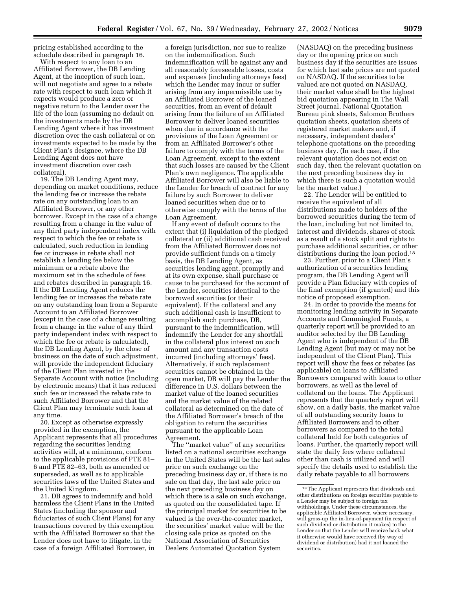pricing established according to the schedule described in paragraph 16.

With respect to any loan to an Affiliated Borrower, the DB Lending Agent, at the inception of such loan, will not negotiate and agree to a rebate rate with respect to such loan which it expects would produce a zero or negative return to the Lender over the life of the loan (assuming no default on the investments made by the DB Lending Agent where it has investment discretion over the cash collateral or on investments expected to be made by the Client Plan's designee, where the DB Lending Agent does not have investment discretion over cash collateral).

19. The DB Lending Agent may, depending on market conditions, reduce the lending fee or increase the rebate rate on any outstanding loan to an Affiliated Borrower, or any other borrower. Except in the case of a change resulting from a change in the value of any third party independent index with respect to which the fee or rebate is calculated, such reduction in lending fee or increase in rebate shall not establish a lending fee below the minimum or a rebate above the maximum set in the schedule of fees and rebates described in paragraph 16. If the DB Lending Agent reduces the lending fee or increases the rebate rate on any outstanding loan from a Separate Account to an Affiliated Borrower (except in the case of a change resulting from a change in the value of any third party independent index with respect to which the fee or rebate is calculated), the DB Lending Agent, by the close of business on the date of such adjustment, will provide the independent fiduciary of the Client Plan invested in the Separate Account with notice (including by electronic means) that it has reduced such fee or increased the rebate rate to such Affiliated Borrower and that the Client Plan may terminate such loan at any time.

20. Except as otherwise expressly provided in the exemption, the Applicant represents that all procedures regarding the securities lending activities will, at a minimum, conform to the applicable provisions of PTE 81– 6 and PTE 82–63, both as amended or superseded, as well as to applicable securities laws of the United States and the United Kingdom.

21. DB agrees to indemnify and hold harmless the Client Plans in the United States (including the sponsor and fiduciaries of such Client Plans) for any transactions covered by this exemption with the Affiliated Borrower so that the Lender does not have to litigate, in the case of a foreign Affiliated Borrower, in

a foreign jurisdiction, nor sue to realize on the indemnification. Such indemnification will be against any and all reasonably foreseeable losses, costs and expenses (including attorneys fees) which the Lender may incur or suffer arising from any impermissible use by an Affiliated Borrower of the loaned securities, from an event of default arising from the failure of an Affiliated Borrower to deliver loaned securities when due in accordance with the provisions of the Loan Agreement or from an Affiliated Borrower's other failure to comply with the terms of the Loan Agreement, except to the extent that such losses are caused by the Client Plan's own negligence. The applicable Affiliated Borrower will also be liable to the Lender for breach of contract for any failure by such Borrower to deliver loaned securities when due or to otherwise comply with the terms of the Loan Agreement.

If any event of default occurs to the extent that (i) liquidation of the pledged collateral or (ii) additional cash received from the Affiliated Borrower does not provide sufficient funds on a timely basis, the DB Lending Agent, as securities lending agent, promptly and at its own expense, shall purchase or cause to be purchased for the account of the Lender, securities identical to the borrowed securities (or their equivalent). If the collateral and any such additional cash is insufficient to accomplish such purchase, DB, pursuant to the indemnification, will indemnify the Lender for any shortfall in the collateral plus interest on such amount and any transaction costs incurred (including attorneys' fees). Alternatively, if such replacement securities cannot be obtained in the open market, DB will pay the Lender the difference in U.S. dollars between the market value of the loaned securities and the market value of the related collateral as determined on the date of the Affiliated Borrower's breach of the obligation to return the securities pursuant to the applicable Loan Agreement.

The ''market value'' of any securities listed on a national securities exchange in the United States will be the last sales price on such exchange on the preceding business day or, if there is no sale on that day, the last sale price on the next preceding business day on which there is a sale on such exchange, as quoted on the consolidated tape. If the principal market for securities to be valued is the over-the-counter market, the securities' market value will be the closing sale price as quoted on the National Association of Securities Dealers Automated Quotation System

(NASDAQ) on the preceding business day or the opening price on such business day if the securities are issues for which last sale prices are not quoted on NASDAQ. If the securities to be valued are not quoted on NASDAQ, their market value shall be the highest bid quotation appearing in The Wall Street Journal, National Quotation Bureau pink sheets, Salomon Brothers quotation sheets, quotation sheets of registered market makers and, if necessary, independent dealers' telephone quotations on the preceding business day. (In each case, if the relevant quotation does not exist on such day, then the relevant quotation on the next preceding business day in which there is such a quotation would be the market value.)

22. The Lender will be entitled to receive the equivalent of all distributions made to holders of the borrowed securities during the term of the loan, including but not limited to, interest and dividends, shares of stock as a result of a stock split and rights to purchase additional securities, or other distributions during the loan period.18

23. Further, prior to a Client Plan's authorization of a securities lending program, the DB Lending Agent will provide a Plan fiduciary with copies of the final exemption (if granted) and this notice of proposed exemption.

24. In order to provide the means for monitoring lending activity in Separate Accounts and Commingled Funds, a quarterly report will be provided to an auditor selected by the DB Lending Agent who is independent of the DB Lending Agent (but may or may not be independent of the Client Plan). This report will show the fees or rebates (as applicable) on loans to Affiliated Borrowers compared with loans to other borrowers, as well as the level of collateral on the loans. The Applicant represents that the quarterly report will show, on a daily basis, the market value of all outstanding security loans to Affiliated Borrowers and to other borrowers as compared to the total collateral held for both categories of loans. Further, the quarterly report will state the daily fees where collateral other than cash is utilized and will specify the details used to establish the daily rebate payable to all borrowers

<sup>18</sup>The Applicant represents that dividends and other distributions on foreign securities payable to a Lender may be subject to foreign tax withholdings. Under these circumstances, the applicable Affiliated Borrower, where necessary, will gross-up the in-lieu-of-payment (in respect of such dividend or distribution it makes) to the Lender so that the Lender will receive back what it otherwise would have received (by way of dividend or distribution) had it not loaned the securities.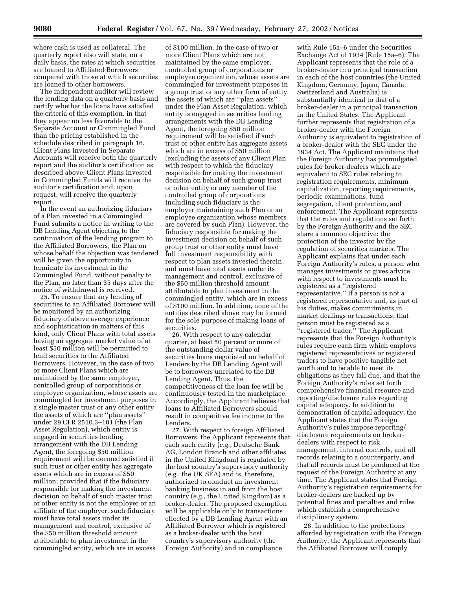where cash is used as collateral. The quarterly report also will state, on a daily basis, the rates at which securities are loaned to Affiliated Borrowers compared with those at which securities are loaned to other borrowers.

The independent auditor will review the lending data on a quarterly basis and certify whether the loans have satisfied the criteria of this exemption, in that they appear no less favorable to the Separate Account or Commingled Fund than the pricing established in the schedule described in paragraph 16. Client Plans invested in Separate Accounts will receive both the quarterly report and the auditor's certification as described above. Client Plans invested in Commingled Funds will receive the auditor's certification and, upon request, will receive the quarterly report.

In the event an authorizing fiduciary of a Plan invested in a Commingled Fund submits a notice in writing to the DB Lending Agent objecting to the continuation of the lending program to the Affiliated Borrowers, the Plan on whose behalf the objection was tendered will be given the opportunity to terminate its investment in the Commingled Fund, without penalty to the Plan, no later than 35 days after the notice of withdrawal is received.

25. To ensure that any lending of securities to an Affiliated Borrower will be monitored by an authorizing fiduciary of above average experience and sophistication in matters of this kind, only Client Plans with total assets having an aggregate market value of at least \$50 million will be permitted to lend securities to the Affiliated Borrowers. However, in the case of two or more Client Plans which are maintained by the same employer, controlled group of corporations or employee organization, whose assets are commingled for investment purposes in a single master trust or any other entity the assets of which are ''plan assets'' under 29 CFR 2510.3–101 (the Plan Asset Regulation), which entity is engaged in securities lending arrangement with the DB Lending Agent, the foregoing \$50 million requirement will be deemed satisfied if such trust or other entity has aggregate assets which are in excess of \$50 million; provided that if the fiduciary responsible for making the investment decision on behalf of such master trust or other entity is not the employer or an affiliate of the employer, such fiduciary must have total assets under its management and control, exclusive of the \$50 million threshold amount attributable to plan investment in the commingled entity, which are in excess

of \$100 million. In the case of two or more Client Plans which are not maintained by the same employer, controlled group of corporations or employee organization, whose assets are commingled for investment purposes in a group trust or any other form of entity the assets of which are ''plan assets'' under the Plan Asset Regulation, which entity is engaged in securities lending arrangements with the DB Lending Agent, the foregoing \$50 million requirement will be satisfied if such trust or other entity has aggregate assets which are in excess of \$50 million (excluding the assets of any Client Plan with respect to which the fiduciary responsible for making the investment decision on behalf of such group trust or other entity or any member of the controlled group of corporations including such fiduciary is the employer maintaining such Plan or an employee organization whose members are covered by such Plan). However, the fiduciary responsible for making the investment decision on behalf of such group trust or other entity must have full investment responsibility with respect to plan assets invested therein, and must have total assets under its management and control, exclusive of the \$50 million threshold amount attributable to plan investment in the commingled entity, which are in excess of \$100 million. In addition, none of the entities described above may be formed for the sole purpose of making loans of securities.

26. With respect to any calendar quarter, at least 50 percent or more of the outstanding dollar value of securities loans negotiated on behalf of Lenders by the DB Lending Agent will be to borrowers unrelated to the DB Lending Agent. Thus, the competitiveness of the loan fee will be continuously tested in the marketplace. Accordingly, the Applicant believes that loans to Affiliated Borrowers should result in competitive fee income to the Lenders.

27. With respect to foreign Affiliated Borrowers, the Applicant represents that each such entity (*e.g.*, Deutsche Bank AG, London Branch and other affiliates in the United Kingdom) is regulated by the host country's supervisory authority (*e.g.*, the UK SFA) and is, therefore, authorized to conduct an investment banking business in and from the host country (*e.g.*, the United Kingdom) as a broker-dealer. The proposed exemption will be applicable only to transactions effected by a DB Lending Agent with an Affiliated Borrower which is registered as a broker-dealer with the host country's supervisory authority (the Foreign Authority) and in compliance

with Rule 15a–6 under the Securities Exchange Act of 1934 (Rule 15a–6). The Applicant represents that the role of a broker-dealer in a principal transaction in each of the host countries (the United Kingdom, Germany, Japan, Canada, Switzerland and Australia) is substantially identical to that of a broker-dealer in a principal transaction in the United States. The Applicant further represents that registration of a broker-dealer with the Foreign Authority is equivalent to registration of a broker-dealer with the SEC under the 1934 Act. The Applicant maintains that the Foreign Authority has promulgated rules for broker-dealers which are equivalent to SEC rules relating to registration requirements, minimum capitalization, reporting requirements, periodic examinations, fund segregation, client protection, and enforcement. The Applicant represents that the rules and regulations set forth by the Foreign Authority and the SEC share a common objective: the protection of the investor by the regulation of securities markets. The Applicant explains that under each Foreign Authority's rules, a person who manages investments or gives advice with respect to investments must be registered as a ''registered representative.'' If a person is not a registered representative and, as part of his duties, makes commitments in market dealings or transactions, that person must be registered as a ''registered trader.'' The Applicant represents that the Foreign Authority's rules require each firm which employs registered representatives or registered traders to have positive tangible net worth and to be able to meet its obligations as they fall due, and that the Foreign Authority's rules set forth comprehensive financial resource and reporting/disclosure rules regarding capital adequacy. In addition to demonstration of capital adequacy, the Applicant states that the Foreign Authority's rules impose reporting/ disclosure requirements on brokerdealers with respect to risk management, internal controls, and all records relating to a counterparty, and that all records must be produced at the request of the Foreign Authority at any time. The Applicant states that Foreign Authority's registration requirements for broker-dealers are backed up by potential fines and penalties and rules which establish a comprehensive disciplinary system.

28. In addition to the protections afforded by registration with the Foreign Authority, the Applicant represents that the Affiliated Borrower will comply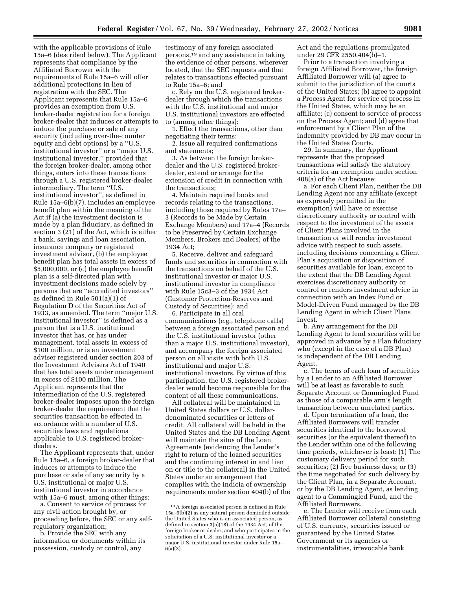with the applicable provisions of Rule 15a–6 (described below). The Applicant represents that compliance by the Affiliated Borrower with the requirements of Rule 15a–6 will offer additional protections in lieu of registration with the SEC. The Applicant represents that Rule 15a–6 provides an exemption from U.S. broker-dealer registration for a foreign broker-dealer that induces or attempts to induce the purchase or sale of any security (including over-the-counter equity and debt options) by a ''U.S. institutional investor'' or a ''major U.S. institutional investor,'' provided that the foreign broker-dealer, among other things, enters into these transactions through a U.S. registered broker-dealer intermediary. The term ''U.S. institutional investor'', as defined in Rule 15a–6(b)(7), includes an employee benefit plan within the meaning of the Act if (a) the investment decision is made by a plan fiduciary, as defined in section 3 (21) of the Act, which is either a bank, savings and loan association, insurance company or registered investment advisor, (b) the employee benefit plan has total assets in excess of \$5,000,000, or (c) the employee benefit plan is a self-directed plan with investment decisions made solely by persons that are ''accredited investors'' as defined in Rule 501(a)(1) of Regulation D of the Securities Act of 1933, as amended. The term ''major U.S. institutional investor'' is defined as a person that is a U.S. institutional investor that has, or has under management, total assets in excess of \$100 million, or is an investment adviser registered under section 203 of the Investment Advisers Act of 1940 that has total assets under management in excess of \$100 million. The Applicant represents that the intermediation of the U.S. registered broker-dealer imposes upon the foreign broker-dealer the requirement that the securities transaction be effected in accordance with a number of U.S. securities laws and regulations applicable to U.S. registered brokerdealers.

The Applicant represents that, under Rule 15a–6, a foreign broker-dealer that induces or attempts to induce the purchase or sale of any security by a U.S. institutional or major U.S. institutional investor in accordance with 15a–6 must, among other things:

a. Consent to service of process for any civil action brought by, or proceeding before, the SEC or any selfregulatory organization;

b. Provide the SEC with any information or documents within its possession, custody or control, any

testimony of any foreign associated persons,19 and any assistance in taking the evidence of other persons, wherever located, that the SEC requests and that relates to transactions effected pursuant to Rule 15a–6; and

c. Rely on the U.S. registered brokerdealer through which the transactions with the U.S. institutional and major U.S. institutional investors are effected to (among other things):

1. Effect the transactions, other than negotiating their terms;

2. Issue all required confirmations and statements;

3. As between the foreign brokerdealer and the U.S. registered brokerdealer, extend or arrange for the extension of credit in connection with the transactions;

4. Maintain required books and records relating to the transactions, including those required by Rules 17a– 3 (Records to be Made by Certain Exchange Members) and 17a–4 (Records to be Preserved by Certain Exchange Members, Brokers and Dealers) of the 1934 Act;

5. Receive, deliver and safeguard funds and securities in connection with the transactions on behalf of the U.S. institutional investor or major U.S. institutional investor in compliance with Rule 15c3–3 of the 1934 Act (Customer Protection-Reserves and Custody of Securities); and

6. Participate in all oral communications (e.g., telephone calls) between a foreign associated person and the U.S. institutional investor (other than a major U.S. institutional investor), and accompany the foreign associated person on all visits with both U.S. institutional and major U.S. institutional investors. By virtue of this participation, the U.S. registered brokerdealer would become responsible for the content of all these communications.

All collateral will be maintained in United States dollars or U.S. dollardenominated securities or letters of credit. All collateral will be held in the United States and the DB Lending Agent will maintain the situs of the Loan Agreements (evidencing the Lender's right to return of the loaned securities and the continuing interest in and lien on or title to the collateral) in the United States under an arrangement that complies with the indicia of ownership requirements under section 404(b) of the Act and the regulations promulgated under 29 CFR 2550.404(b)–1.

Prior to a transaction involving a foreign Affiliated Borrower, the foreign Affiliated Borrower will (a) agree to submit to the jurisdiction of the courts of the United States; (b) agree to appoint a Process Agent for service of process in the United States, which may be an affiliate; (c) consent to service of process on the Process Agent; and (d) agree that enforcement by a Client Plan of the indemnity provided by DB may occur in the United States Courts.

29. In summary, the Applicant represents that the proposed transactions will satisfy the statutory criteria for an exemption under section 408(a) of the Act because:

a. For each Client Plan, neither the DB Lending Agent nor any affiliate (except as expressly permitted in the exemption) will have or exercise discretionary authority or control with respect to the investment of the assets of Client Plans involved in the transaction or will render investment advice with respect to such assets, including decisions concerning a Client Plan's acquisition or disposition of securities available for loan, except to the extent that the DB Lending Agent exercises discretionary authority or control or renders investment advice in connection with an Index Fund or Model-Driven Fund managed by the DB Lending Agent in which Client Plans invest.

b. Any arrangement for the DB Lending Agent to lend securities will be approved in advance by a Plan fiduciary who (except in the case of a DB Plan) is independent of the DB Lending Agent.

c. The terms of each loan of securities by a Lender to an Affiliated Borrower will be at least as favorable to such Separate Account or Commingled Fund as those of a comparable arm's length transaction between unrelated parties.

d. Upon termination of a loan, the Affiliated Borrowers will transfer securities identical to the borrowed securities (or the equivalent thereof) to the Lender within one of the following time periods, whichever is least: (1) The customary delivery period for such securities; (2) five business days; or (3) the time negotiated for such delivery by the Client Plan, in a Separate Account, or by the DB Lending Agent, as lending agent to a Commingled Fund, and the Affiliated Borrowers.

e. The Lender will receive from each Affiliated Borrower collateral consisting of U.S. currency, securities issued or guaranteed by the United States Government or its agencies or instrumentalities, irrevocable bank

<sup>19</sup>A foreign associated person is defined in Rule 15a–6(b)(2) as any natural person domiciled outside the United States who is an associated person, as defined in section 3(a)(18) of the 1934 Act, of the foreign broker or dealer, and who participates in the solicitation of a U.S. institutional investor or a major U.S. institutional investor under Rule 15a–  $6(a)(3)$ .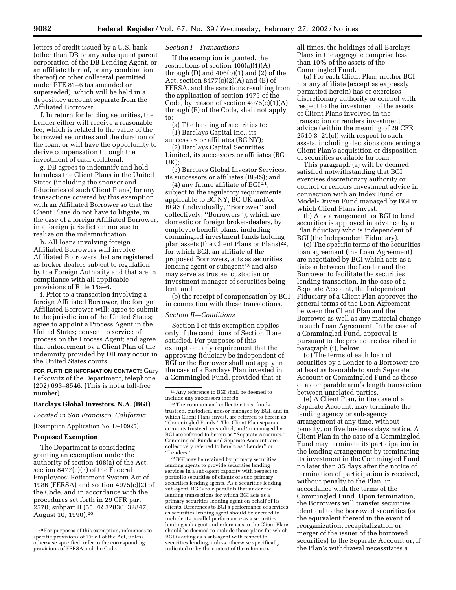letters of credit issued by a U.S. bank (other than DB or any subsequent parent corporation of the DB Lending Agent, or an affiliate thereof, or any combination thereof) or other collateral permitted under PTE 81–6 (as amended or superseded), which will be held in a depository account separate from the Affiliated Borrower.

f. In return for lending securities, the Lender either will receive a reasonable fee, which is related to the value of the borrowed securities and the duration of the loan, or will have the opportunity to derive compensation through the investment of cash collateral.

g. DB agrees to indemnify and hold harmless the Client Plans in the United States (including the sponsor and fiduciaries of such Client Plans) for any transactions covered by this exemption with an Affiliated Borrower so that the Client Plans do not have to litigate, in the case of a foreign Affiliated Borrower, in a foreign jurisdiction nor sue to realize on the indemnification.

h. All loans involving foreign Affiliated Borrowers will involve Affiliated Borrowers that are registered as broker-dealers subject to regulation by the Foreign Authority and that are in compliance with all applicable provisions of Rule 15a–6.

i. Prior to a transaction involving a foreign Affiliated Borrower, the foreign Affiliated Borrower will: agree to submit to the jurisdiction of the United States; agree to appoint a Process Agent in the United States; consent to service of process on the Process Agent; and agree that enforcement by a Client Plan of the indemnity provided by DB may occur in the United States courts.

**FOR FURTHER INFORMATION CONTACT:** Gary Lefkowitz of the Department, telephone (202) 693–8546. (This is not a toll-free number).

#### **Barclays Global Investors, N.A. (BGI)**

*Located in San Francisco, California*

## [Exemption Application No. D–10925]

#### **Proposed Exemption**

The Department is considering granting an exemption under the authority of section 408(a) of the Act, section 8477(c)(3) of the Federal Employees' Retirement System Act of 1986 (FERSA) and section 4975(c)(2) of the Code, and in accordance with the procedures set forth in 29 CFR part 2570, subpart B (55 FR 32836, 32847, August 10, 1990).20

#### *Section I—Transactions*

If the exemption is granted, the restrictions of section 406(a)(1)(A) through  $(D)$  and  $406(b)(1)$  and  $(2)$  of the Act, section  $8477(c)(2)(A)$  and  $(B)$  of FERSA, and the sanctions resulting from the application of section 4975 of the Code, by reason of section  $4975(c)(1)(A)$ through (E) of the Code, shall not apply to:

(a) The lending of securities to: (1) Barclays Capital Inc., its

successors or affiliates (BC NY); (2) Barclays Capital Securities Limited, its successors or affiliates (BC

UK); (3) Barclays Global Investor Services, its successors or affiliates (BGIS); and

(4) any future affiliate of BGI  $^{21}$ , subject to the regulatory requirements applicable to BC NY, BC UK and/or BGIS (individually, ''Borrower'' and collectively, ''Borrowers''), which are domestic or foreign broker-dealers, by employee benefit plans, including commingled investment funds holding plan assets (the Client Plans or Plans)<sup>22</sup>, for which BGI, an affiliate of the proposed Borrowers, acts as securities lending agent or subagent<sup>23</sup> and also may serve as trustee, custodian or investment manager of securities being lent; and

(b) the receipt of compensation by BGI in connection with these transactions.

#### *Section II—Conditions*

Section I of this exemption applies only if the conditions of Section II are satisfied. For purposes of this exemption, any requirement that the approving fiduciary be independent of BGI or the Borrower shall not apply in the case of a Barclays Plan invested in a Commingled Fund, provided that at

23BGI may be retained by primary securities lending agents to provide securities lending services in a sub-agent capacity with respect to portfolio securities of clients of such primary securities lending agents. As a securities lending sub-agent, BGI's role parallels that under the lending transactions for which BGI acts as a primary securities lending agent on behalf of its clients. References to BGI's performance of services as securities lending agent should be deemed to include its parallel performance as a securities lending sub-agent and references to the Client Plans should be deemed to include those plans for which BGI is acting as a sub-agent with respect to securities lending, unless otherwise specifically indicated or by the context of the reference.

all times, the holdings of all Barclays Plans in the aggregate comprise less than 10% of the assets of the Commingled Fund.

(a) For each Client Plan, neither BGI nor any affiliate (except as expressly permitted herein) has or exercises discretionary authority or control with respect to the investment of the assets of Client Plans involved in the transaction or renders investment advice (within the meaning of 29 CFR 2510.3–21(c)) with respect to such assets, including decisions concerning a Client Plan's acquisition or disposition of securities available for loan.

This paragraph (a) will be deemed satisfied notwithstanding that BGI exercises discretionary authority or control or renders investment advice in connection with an Index Fund or Model-Driven Fund managed by BGI in which Client Plans invest.

(b) Any arrangement for BGI to lend securities is approved in advance by a Plan fiduciary who is independent of BGI (the Independent Fiduciary).

(c) The specific terms of the securities loan agreement (the Loan Agreement) are negotiated by BGI which acts as a liaison between the Lender and the Borrower to facilitate the securities lending transaction. In the case of a Separate Account, the Independent Fiduciary of a Client Plan approves the general terms of the Loan Agreement between the Client Plan and the Borrower as well as any material change in such Loan Agreement. In the case of a Commingled Fund, approval is pursuant to the procedure described in paragraph (i), below.

(d) The terms of each loan of securities by a Lender to a Borrower are at least as favorable to such Separate Account or Commingled Fund as those of a comparable arm's length transaction between unrelated parties.

(e) A Client Plan, in the case of a Separate Account, may terminate the lending agency or sub-agency arrangement at any time, without penalty, on five business days notice. A Client Plan in the case of a Commingled Fund may terminate its participation in the lending arrangement by terminating its investment in the Commingled Fund no later than 35 days after the notice of termination of participation is received, without penalty to the Plan, in accordance with the terms of the Commingled Fund. Upon termination, the Borrowers will transfer securities identical to the borrowed securities (or the equivalent thereof in the event of reorganization, recapitalization or merger of the issuer of the borrowed securities) to the Separate Account or, if the Plan's withdrawal necessitates a

<sup>20</sup>For purposes of this exemption, references to specific provisions of Title I of the Act, unless otherwise specified, refer to the corresponding provisions of FERSA and the Code.

<sup>21</sup>Any reference to BGI shall be deemed to include any successors thereto.

<sup>22</sup>The common and collective trust funds trusteed, custodied, and/or managed by BGI, and in which Client Plans invest, are referred to herein as ''Commingled Funds.'' The Client Plan separate accounts trusteed, custodied, and/or managed by BGI are referred to herein as ''Separate Accounts.'' Commingled Funds and Separate Accounts are collectively referred to herein as ''Lender'' or ''Lenders.''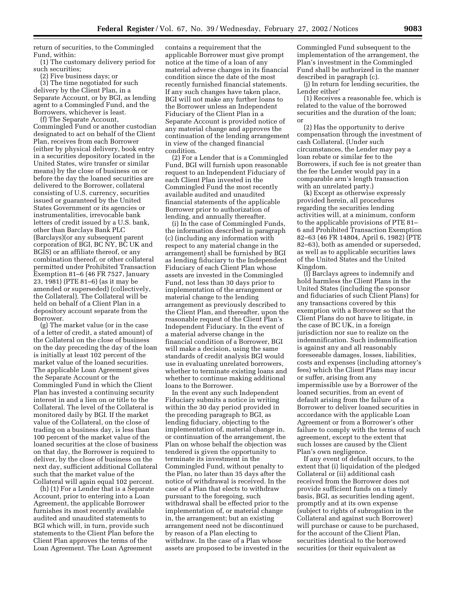return of securities, to the Commingled Fund, within:

(1) The customary delivery period for such securities;

(2) Five business days; or

(3) The time negotiated for such delivery by the Client Plan, in a Separate Account, or by BGI, as lending agent to a Commingled Fund, and the Borrowers, whichever is least.

(f) The Separate Account, Commingled Fund or another custodian designated to act on behalf of the Client Plan, receives from each Borrower (either by physical delivery, book entry in a securities depository located in the United States, wire transfer or similar means) by the close of business on or before the day the loaned securities are delivered to the Borrower, collateral consisting of U.S. currency, securities issued or guaranteed by the United States Government or its agencies or instrumentalities, irrevocable bank letters of credit issued by a U.S. bank, other than Barclays Bank PLC (Barclays)(or any subsequent parent corporation of BGI, BC NY, BC UK and BGIS) or an affiliate thereof, or any combination thereof, or other collateral permitted under Prohibited Transaction Exemption 81–6 (46 FR 7527, January 23, 1981) (PTE 81–6) (as it may be amended or superseded) (collectively, the Collateral). The Collateral will be held on behalf of a Client Plan in a depository account separate from the Borrower.

(g) The market value (or in the case of a letter of credit, a stated amount) of the Collateral on the close of business on the day preceding the day of the loan is initially at least 102 percent of the market value of the loaned securities. The applicable Loan Agreement gives the Separate Account or the Commingled Fund in which the Client Plan has invested a continuing security interest in and a lien on or title to the Collateral. The level of the Collateral is monitored daily by BGI. If the market value of the Collateral, on the close of trading on a business day, is less than 100 percent of the market value of the loaned securities at the close of business on that day, the Borrower is required to deliver, by the close of business on the next day, sufficient additional Collateral such that the market value of the Collateral will again equal 102 percent.

(h) (1) For a Lender that is a Separate Account, prior to entering into a Loan Agreement, the applicable Borrower furnishes its most recently available audited and unaudited statements to BGI which will, in turn, provide such statements to the Client Plan before the Client Plan approves the terms of the Loan Agreement. The Loan Agreement

contains a requirement that the applicable Borrower must give prompt notice at the time of a loan of any material adverse changes in its financial condition since the date of the most recently furnished financial statements. If any such changes have taken place, BGI will not make any further loans to the Borrower unless an Independent Fiduciary of the Client Plan in a Separate Account is provided notice of any material change and approves the continuation of the lending arrangement in view of the changed financial condition.

(2) For a Lender that is a Commingled Fund, BGI will furnish upon reasonable request to an Independent Fiduciary of each Client Plan invested in the Commingled Fund the most recently available audited and unaudited financial statements of the applicable Borrower prior to authorization of lending, and annually thereafter.

(i) In the case of Commingled Funds, the information described in paragraph (c) (including any information with respect to any material change in the arrangement) shall be furnished by BGI as lending fiduciary to the Independent Fiduciary of each Client Plan whose assets are invested in the Commingled Fund, not less than 30 days prior to implementation of the arrangement or material change to the lending arrangement as previously described to the Client Plan, and thereafter, upon the reasonable request of the Client Plan's Independent Fiduciary. In the event of a material adverse change in the financial condition of a Borrower, BGI will make a decision, using the same standards of credit analysis BGI would use in evaluating unrelated borrowers, whether to terminate existing loans and whether to continue making additional loans to the Borrower.

In the event any such Independent Fiduciary submits a notice in writing within the 30 day period provided in the preceding paragraph to BGI, as lending fiduciary, objecting to the implementation of, material change in, or continuation of the arrangement, the Plan on whose behalf the objection was tendered is given the opportunity to terminate its investment in the Commingled Fund, without penalty to the Plan, no later than 35 days after the notice of withdrawal is received. In the case of a Plan that elects to withdraw pursuant to the foregoing, such withdrawal shall be effected prior to the implementation of, or material change in, the arrangement; but an existing arrangement need not be discontinued by reason of a Plan electing to withdraw. In the case of a Plan whose assets are proposed to be invested in the

Commingled Fund subsequent to the implementation of the arrangement, the Plan's investment in the Commingled Fund shall be authorized in the manner described in paragraph (c).

(j) In return for lending securities, the Lender either'

(1) Receives a reasonable fee, which is related to the value of the borrowed securities and the duration of the loan; or

(2) Has the opportunity to derive compensation through the investment of cash Collateral. (Under such circumstances, the Lender may pay a loan rebate or similar fee to the Borrowers, if such fee is not greater than the fee the Lender would pay in a comparable arm's length transaction with an unrelated party.)

(k) Except as otherwise expressly provided herein, all procedures regarding the securities lending activities will, at a minimum, conform to the applicable provisions of PTE 81– 6 and Prohibited Transaction Exemption 82–63 (46 FR 14804, April 6, 1982) (PTE 82–63), both as amended or superseded, as well as to applicable securities laws of the United States and the United Kingdom.

(l) Barclays agrees to indemnify and hold harmless the Client Plans in the United States (including the sponsor and fiduciaries of such Client Plans) for any transactions covered by this exemption with a Borrower so that the Client Plans do not have to litigate, in the case of BC UK, in a foreign jurisdiction nor sue to realize on the indemnification. Such indemnification is against any and all reasonably foreseeable damages, losses, liabilities, costs and expenses (including attorney's fees) which the Client Plans may incur or suffer, arising from any impermissible use by a Borrower of the loaned securities, from an event of default arising from the failure of a Borrower to deliver loaned securities in accordance with the applicable Loan Agreement or from a Borrower's other failure to comply with the terms of such agreement, except to the extent that such losses are caused by the Client Plan's own negligence.

If any event of default occurs, to the extent that (i) liquidation of the pledged Collateral or (ii) additional cash received from the Borrower does not provide sufficient funds on a timely basis, BGI, as securities lending agent, promptly and at its own expense (subject to rights of subrogation in the Collateral and against such Borrower) will purchase or cause to be purchased, for the account of the Client Plan, securities identical to the borrowed securities (or their equivalent as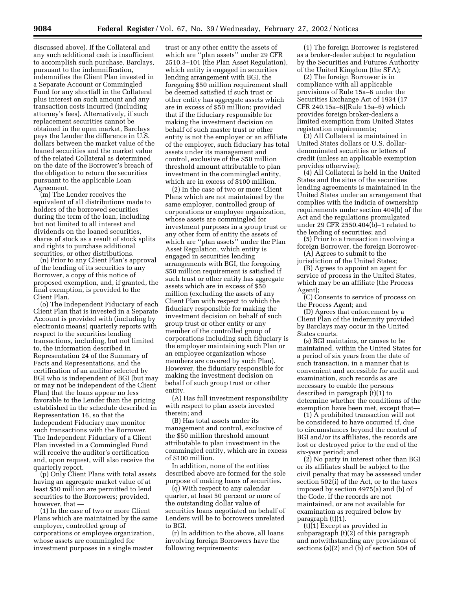discussed above). If the Collateral and any such additional cash is insufficient to accomplish such purchase, Barclays, pursuant to the indemnification, indemnifies the Client Plan invested in a Separate Account or Commingled Fund for any shortfall in the Collateral plus interest on such amount and any transaction costs incurred (including attorney's fees). Alternatively, if such replacement securities cannot be obtained in the open market, Barclays pays the Lender the difference in U.S. dollars between the market value of the loaned securities and the market value of the related Collateral as determined on the date of the Borrower's breach of the obligation to return the securities pursuant to the applicable Loan Agreement.

(m) The Lender receives the equivalent of all distributions made to holders of the borrowed securities during the term of the loan, including but not limited to all interest and dividends on the loaned securities, shares of stock as a result of stock splits and rights to purchase additional securities, or other distributions.

(n) Prior to any Client Plan's approval of the lending of its securities to any Borrower, a copy of this notice of proposed exemption, and, if granted, the final exemption, is provided to the Client Plan.

(o) The Independent Fiduciary of each Client Plan that is invested in a Separate Account is provided with (including by electronic means) quarterly reports with respect to the securities lending transactions, including, but not limited to, the information described in Representation 24 of the Summary of Facts and Representations, and the certification of an auditor selected by BGI who is independent of BGI (but may or may not be independent of the Client Plan) that the loans appear no less favorable to the Lender than the pricing established in the schedule described in Representation 16, so that the Independent Fiduciary may monitor such transactions with the Borrower. The Independent Fiduciary of a Client Plan invested in a Commingled Fund will receive the auditor's certification and, upon request, will also receive the quarterly report.

(p) Only Client Plans with total assets having an aggregate market value of at least \$50 million are permitted to lend securities to the Borrowers; provided, however, that —

(1) In the case of two or more Client Plans which are maintained by the same employer, controlled group of corporations or employee organization, whose assets are commingled for investment purposes in a single master

trust or any other entity the assets of which are ''plan assets'' under 29 CFR 2510.3–101 (the Plan Asset Regulation), which entity is engaged in securities lending arrangement with BGI, the foregoing \$50 million requirement shall be deemed satisfied if such trust or other entity has aggregate assets which are in excess of \$50 million; provided that if the fiduciary responsible for making the investment decision on behalf of such master trust or other entity is not the employer or an affiliate of the employer, such fiduciary has total assets under its management and control, exclusive of the \$50 million threshold amount attributable to plan investment in the commingled entity, which are in excess of \$100 million.

(2) In the case of two or more Client Plans which are not maintained by the same employer, controlled group of corporations or employee organization, whose assets are commingled for investment purposes in a group trust or any other form of entity the assets of which are ''plan assets'' under the Plan Asset Regulation, which entity is engaged in securities lending arrangements with BGI, the foregoing \$50 million requirement is satisfied if such trust or other entity has aggregate assets which are in excess of \$50 million (excluding the assets of any Client Plan with respect to which the fiduciary responsible for making the investment decision on behalf of such group trust or other entity or any member of the controlled group of corporations including such fiduciary is the employer maintaining such Plan or an employee organization whose members are covered by such Plan). However, the fiduciary responsible for making the investment decision on behalf of such group trust or other entity.

(A) Has full investment responsibility with respect to plan assets invested therein; and

(B) Has total assets under its management and control, exclusive of the \$50 million threshold amount attributable to plan investment in the commingled entity, which are in excess of \$100 million.

In addition, none of the entities described above are formed for the sole purpose of making loans of securities.

(q) With respect to any calendar quarter, at least 50 percent or more of the outstanding dollar value of securities loans negotiated on behalf of Lenders will be to borrowers unrelated to BGI.

(r) In addition to the above, all loans involving foreign Borrowers have the following requirements:

(1) The foreign Borrower is registered as a broker-dealer subject to regulation by the Securities and Futures Authority of the United Kingdom (the SFA);

(2) The foreign Borrower is in compliance with all applicable provisions of Rule 15a–6 under the Securities Exchange Act of 1934 (17 CFR 240.15a–6)(Rule 15a–6) which provides foreign broker-dealers a limited exemption from United States registration requirements;

(3) All Collateral is maintained in United States dollars or U.S. dollardenominated securities or letters of credit (unless an applicable exemption provides otherwise);

(4) All Collateral is held in the United States and the situs of the securities lending agreements is maintained in the United States under an arrangement that complies with the indicia of ownership requirements under section 404(b) of the Act and the regulations promulgated under 29 CFR 2550.404(b)–1 related to the lending of securities; and

(5) Prior to a transaction involving a foreign Borrower, the foreign Borrower- (A) Agrees to submit to the

jurisdiction of the United States;

(B) Agrees to appoint an agent for service of process in the United States, which may be an affiliate (the Process Agent);

(C) Consents to service of process on the Process Agent; and

(D) Agrees that enforcement by a Client Plan of the indemnity provided by Barclays may occur in the United States courts.

(s) BGI maintains, or causes to be maintained, within the United States for a period of six years from the date of such transaction, in a manner that is convenient and accessible for audit and examination, such records as are necessary to enable the persons described in paragraph (t)(1) to determine whether the conditions of the exemption have been met, except that—

(1) A prohibited transaction will not be considered to have occurred if, due to circumstances beyond the control of BGI and/or its affiliates, the records are lost or destroyed prior to the end of the six-year period; and

(2) No party in interest other than BGI or its affiliates shall be subject to the civil penalty that may be assessed under section 502(i) of the Act, or to the taxes imposed by section 4975(a) and (b) of the Code, if the records are not maintained, or are not available for examination as required below by paragraph (t)(1).

(t)(1) Except as provided in subparagraph (t)(2) of this paragraph and notwithstanding any provisions of sections (a)(2) and (b) of section 504 of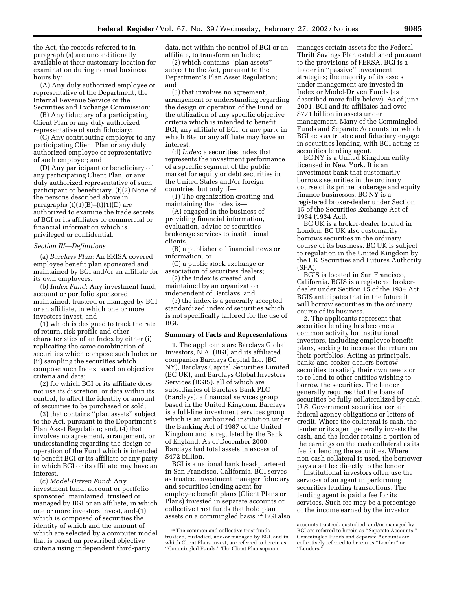the Act, the records referred to in paragraph (s) are unconditionally available at their customary location for examination during normal business hours by:

(A) Any duly authorized employee or representative of the Department, the Internal Revenue Service or the Securities and Exchange Commission;

(B) Any fiduciary of a participating Client Plan or any duly authorized representative of such fiduciary;

(C) Any contributing employer to any participating Client Plan or any duly authorized employee or representative of such employer; and

(D) Any participant or beneficiary of any participating Client Plan, or any duly authorized representative of such participant or beneficiary. (t)(2) None of the persons described above in paragraphs  $(t)(1)(B)$ – $(t)(1)(D)$  are authorized to examine the trade secrets of BGI or its affiliates or commercial or financial information which is privileged or confidential.

#### *Section III—Definitions*

(a) *Barclays Plan:* An ERISA covered employee benefit plan sponsored and maintained by BGI and/or an affiliate for its own employees.

(b) *Index Fund*: Any investment fund, account or portfolio sponsored, maintained, trusteed or managed by BGI or an affiliate, in which one or more investors invest, and-—

(1) which is designed to track the rate of return, risk profile and other characteristics of an Index by either (i) replicating the same combination of securities which compose such Index or (ii) sampling the securities which compose such Index based on objective criteria and data;

(2) for which BGI or its affiliate does not use its discretion, or data within its control, to affect the identity or amount of securities to be purchased or sold;

(3) that contains ''plan assets'' subject to the Act, pursuant to the Department's Plan Asset Regulation; and, (4) that involves no agreement, arrangement, or understanding regarding the design or operation of the Fund which is intended to benefit BGI or its affiliate or any party in which BGI or its affiliate may have an interest.

(c) *Model-Driven Fund*: Any investment fund, account or portfolio sponsored, maintained, trusteed or managed by BGI or an affiliate, in which one or more investors invest, and-(1) which is composed of securities the identity of which and the amount of which are selected by a computer model that is based on prescribed objective criteria using independent third-party

data, not within the control of BGI or an affiliate, to transform an Index;

(2) which contains ''plan assets'' subject to the Act, pursuant to the Department's Plan Asset Regulation; and

(3) that involves no agreement, arrangement or understanding regarding the design or operation of the Fund or the utilization of any specific objective criteria which is intended to benefit BGI, any affiliate of BGI, or any party in which BGI or any affiliate may have an interest.

(d) *Index*: a securities index that represents the investment performance of a specific segment of the public market for equity or debt securities in the United States and/or foreign countries, but only if—

(1) The organization creating and maintaining the index is—

(A) engaged in the business of providing financial information, evaluation, advice or securities brokerage services to institutional clients,

(B) a publisher of financial news or information, or

(C) a public stock exchange or association of securities dealers;

(2) the index is created and maintained by an organization independent of Barclays; and

(3) the index is a generally accepted standardized index of securities which is not specifically tailored for the use of BGI.

#### **Summary of Facts and Representations**

1. The applicants are Barclays Global Investors, N.A. (BGI) and its affiliated companies Barclays Capital Inc. (BC NY), Barclays Capital Securities Limited (BC UK), and Barclays Global Investors Services (BGIS), all of which are subsidiaries of Barclays Bank PLC (Barclays), a financial services group based in the United Kingdom. Barclays is a full-line investment services group which is an authorized institution under the Banking Act of 1987 of the United Kingdom and is regulated by the Bank of England. As of December 2000, Barclays had total assets in excess of \$472 billion.

BGI is a national bank headquartered in San Francisco, California. BGI serves as trustee, investment manager fiduciary and securities lending agent for employee benefit plans (Client Plans or Plans) invested in separate accounts or collective trust funds that hold plan assets on a commingled basis.24 BGI also manages certain assets for the Federal Thrift Savings Plan established pursuant to the provisions of FERSA. BGI is a leader in ''passive'' investment strategies; the majority of its assets under management are invested in Index or Model-Driven Funds (as described more fully below). As of June 2001, BGI and its affiliates had over \$771 billion in assets under management. Many of the Commingled Funds and Separate Accounts for which BGI acts as trustee and fiduciary engage in securities lending, with BGI acting as securities lending agent.

BC NY is a United Kingdom entity licensed in New York. It is an investment bank that customarily borrows securities in the ordinary course of its prime brokerage and equity finance businesses. BC NY is a registered broker-dealer under Section 15 of the Securities Exchange Act of 1934 (1934 Act).

BC UK is a broker-dealer located in London. BC UK also customarily borrows securities in the ordinary course of its business. BC UK is subject to regulation in the United Kingdom by the UK Securities and Futures Authority (SFA).

BGIS is located in San Francisco, California. BGIS is a registered brokerdealer under Section 15 of the 1934 Act. BGIS anticipates that in the future it will borrow securities in the ordinary course of its business.

2. The applicants represent that securities lending has become a common activity for institutional investors, including employee benefit plans, seeking to increase the return on their portfolios. Acting as principals, banks and broker-dealers borrow securities to satisfy their own needs or to re-lend to other entities wishing to borrow the securities. The lender generally requires that the loans of securities be fully collateralized by cash, U.S. Government securities, certain federal agency obligations or letters of credit. Where the collateral is cash, the lender or its agent generally invests the cash, and the lender retains a portion of the earnings on the cash collateral as its fee for lending the securities. Where non-cash collateral is used, the borrower pays a set fee directly to the lender.

Institutional investors often use the services of an agent in performing securities lending transactions. The lending agent is paid a fee for its services. Such fee may be a percentage of the income earned by the investor

<sup>24</sup>The common and collective trust funds trusteed, custodied, and/or managed by BGI, and in which Client Plans invest, are referred to herein as ''Commingled Funds.'' The Client Plan separate

accounts trusteed, custodied, and/or managed by BGI are referred to herein as "Separate Accounts. Commingled Funds and Separate Accounts are collectively referred to herein as ''Lender'' or ''Lenders.''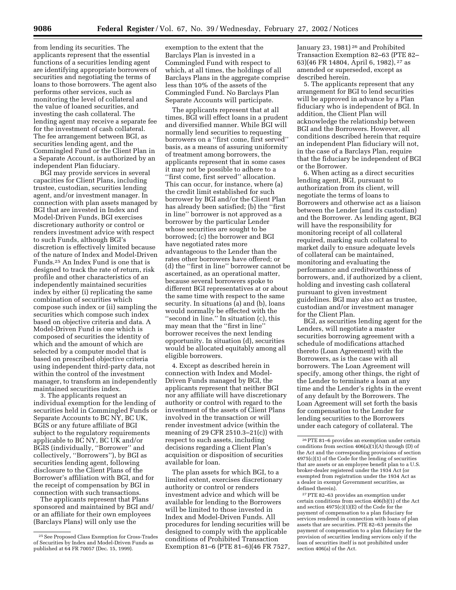from lending its securities. The applicants represent that the essential functions of a securities lending agent are identifying appropriate borrowers of securities and negotiating the terms of loans to those borrowers. The agent also performs other services, such as monitoring the level of collateral and the value of loaned securities, and investing the cash collateral. The lending agent may receive a separate fee for the investment of cash collateral. The fee arrangement between BGI, as securities lending agent, and the Commingled Fund or the Client Plan in a Separate Account, is authorized by an independent Plan fiduciary.

BGI may provide services in several capacities for Client Plans, including trustee, custodian, securities lending agent, and/or investment manager. In connection with plan assets managed by BGI that are invested in Index and Model-Driven Funds, BGI exercises discretionary authority or control or renders investment advice with respect to such Funds, although BGI's discretion is effectively limited because of the nature of Index and Model-Driven Funds.25 An Index Fund is one that is designed to track the rate of return, risk profile and other characteristics of an independently maintained securities index by either (i) replicating the same combination of securities which compose such index or (ii) sampling the securities which compose such index based on objective criteria and data. A Model-Driven Fund is one which is composed of securities the identity of which and the amount of which are selected by a computer model that is based on prescribed objective criteria using independent third-party data, not within the control of the investment manager, to transform an independently maintained securities index.

3. The applicants request an individual exemption for the lending of securities held in Commingled Funds or Separate Accounts to BC NY, BC UK, BGIS or any future affiliate of BGI subject to the regulatory requirements applicable to BC NY, BC UK and/or BGIS (individually, ''Borrower'' and collectively, ''Borrowers''), by BGI as securities lending agent, following disclosure to the Client Plans of the Borrower's affiliation with BGI, and for the receipt of compensation by BGI in connection with such transactions.

The applicants represent that Plans sponsored and maintained by BGI and/ or an affiliate for their own employees (Barclays Plans) will only use the

exemption to the extent that the Barclays Plan is invested in a Commingled Fund with respect to which, at all times, the holdings of all Barclays Plans in the aggregate comprise less than 10% of the assets of the Commingled Fund. No Barclays Plan Separate Accounts will participate.

The applicants represent that at all times, BGI will effect loans in a prudent and diversified manner. While BGI will normally lend securities to requesting borrowers on a ''first come, first served'' basis, as a means of assuring uniformity of treatment among borrowers, the applicants represent that in some cases it may not be possible to adhere to a ''first come, first served'' allocation. This can occur, for instance, where (a) the credit limit established for such borrower by BGI and/or the Client Plan has already been satisfied; (b) the ''first in line'' borrower is not approved as a borrower by the particular Lender whose securities are sought to be borrowed; (c) the borrower and BGI have negotiated rates more advantageous to the Lender than the rates other borrowers have offered; or (d) the ''first in line'' borrower cannot be ascertained, as an operational matter, because several borrowers spoke to different BGI representatives at or about the same time with respect to the same security. In situations (a) and (b), loans would normally be effected with the ''second in line.'' In situation (c), this may mean that the ''first in line'' borrower receives the next lending opportunity. In situation (d), securities would be allocated equitably among all eligible borrowers.

4. Except as described herein in connection with Index and Model-Driven Funds managed by BGI, the applicants represent that neither BGI nor any affiliate will have discretionary authority or control with regard to the investment of the assets of Client Plans involved in the transaction or will render investment advice (within the meaning of 29 CFR 2510.3–21(c)) with respect to such assets, including decisions regarding a Client Plan's acquisition or disposition of securities available for loan.

The plan assets for which BGI, to a limited extent, exercises discretionary authority or control or renders investment advice and which will be available for lending to the Borrowers will be limited to those invested in Index and Model-Driven Funds. All procedures for lending securities will be designed to comply with the applicable conditions of Prohibited Transaction Exemption 81–6 (PTE 81–6)(46 FR 7527,

January 23, 1981) 26 and Prohibited Transaction Exemption 82–63 (PTE 82– 63)(46 FR 14804, April 6, 1982), 27 as amended or superseded, except as described herein.

5. The applicants represent that any arrangement for BGI to lend securities will be approved in advance by a Plan fiduciary who is independent of BGI. In addition, the Client Plan will acknowledge the relationship between BGI and the Borrowers. However, all conditions described herein that require an independent Plan fiduciary will not, in the case of a Barclays Plan, require that the fiduciary be independent of BGI or the Borrower.

6. When acting as a direct securities lending agent, BGI, pursuant to authorization from its client, will negotiate the terms of loans to Borrowers and otherwise act as a liaison between the Lender (and its custodian) and the Borrower. As lending agent, BGI will have the responsibility for monitoring receipt of all collateral required, marking such collateral to market daily to ensure adequate levels of collateral can be maintained, monitoring and evaluating the performance and creditworthiness of borrowers, and, if authorized by a client, holding and investing cash collateral pursuant to given investment guidelines. BGI may also act as trustee, custodian and/or investment manager for the Client Plan.

BGI, as securities lending agent for the Lenders, will negotiate a master securities borrowing agreement with a schedule of modifications attached thereto (Loan Agreement) with the Borrowers, as is the case with all borrowers. The Loan Agreement will specify, among other things, the right of the Lender to terminate a loan at any time and the Lender's rights in the event of any default by the Borrowers. The Loan Agreement will set forth the basis for compensation to the Lender for lending securities to the Borrowers under each category of collateral. The

27PTE 82–63 provides an exemption under certain conditions from section 406(b)(1) of the Act and section 4975(c)(1)(E) of the Code for the payment of compensation to a plan fiduciary for services rendered in connection with loans of plan assets that are securities. PTE 82–63 permits the payment of compensation to a plan fiduciary for the provision of securities lending services only if the loan of securities itself is not prohibited under section 406(a) of the Act.

<sup>25</sup>See Proposed Class Exemption for Cross-Trades of Securities by Index and Model-Driven Funds as published at 64 FR 70057 (Dec. 15, 1999).

<sup>26</sup>PTE 81–6 provides an exemption under certain conditions from section  $406(a)(1)(A)$  through (D) of the Act and the corresponding provisions of section  $4975(c)(1)$  of the Code for the lending of securities that are assets or an employee benefit plan to a U.S. broker-dealer registered under the 1934 Act (or exempted from registration under the 1934 Act as a dealer in exempt Government securities, as defined therein).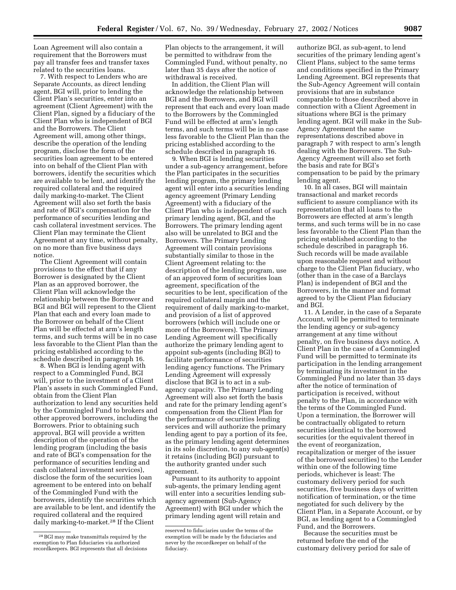Loan Agreement will also contain a requirement that the Borrowers must pay all transfer fees and transfer taxes related to the securities loans.

7. With respect to Lenders who are Separate Accounts, as direct lending agent, BGI will, prior to lending the Client Plan's securities, enter into an agreement (Client Agreement) with the Client Plan, signed by a fiduciary of the Client Plan who is independent of BGI and the Borrowers. The Client Agreement will, among other things, describe the operation of the lending program, disclose the form of the securities loan agreement to be entered into on behalf of the Client Plan with borrowers, identify the securities which are available to be lent, and identify the required collateral and the required daily marking-to-market. The Client Agreement will also set forth the basis and rate of BGI's compensation for the performance of securities lending and cash collateral investment services. The Client Plan may terminate the Client Agreement at any time, without penalty, on no more than five business days notice.

The Client Agreement will contain provisions to the effect that if any Borrower is designated by the Client Plan as an approved borrower, the Client Plan will acknowledge the relationship between the Borrower and BGI and BGI will represent to the Client Plan that each and every loan made to the Borrower on behalf of the Client Plan will be effected at arm's length terms, and such terms will be in no case less favorable to the Client Plan than the pricing established according to the schedule described in paragraph 16.

8. When BGI is lending agent with respect to a Commingled Fund, BGI will, prior to the investment of a Client Plan's assets in such Commingled Fund, obtain from the Client Plan authorization to lend any securities held by the Commingled Fund to brokers and other approved borrowers, including the Borrowers. Prior to obtaining such approval, BGI will provide a written description of the operation of the lending program (including the basis and rate of BGI's compensation for the performance of securities lending and cash collateral investment services), disclose the form of the securities loan agreement to be entered into on behalf of the Commingled Fund with the borrowers, identify the securities which are available to be lent, and identify the required collateral and the required daily marking-to-market.28 If the Client

Plan objects to the arrangement, it will be permitted to withdraw from the Commingled Fund, without penalty, no later than 35 days after the notice of withdrawal is received.

In addition, the Client Plan will acknowledge the relationship between BGI and the Borrowers, and BGI will represent that each and every loan made to the Borrowers by the Commingled Fund will be effected at arm's length terms, and such terms will be in no case less favorable to the Client Plan than the pricing established according to the schedule described in paragraph 16.

9. When BGI is lending securities under a sub-agency arrangement, before the Plan participates in the securities lending program, the primary lending agent will enter into a securities lending agency agreement (Primary Lending Agreement) with a fiduciary of the Client Plan who is independent of such primary lending agent, BGI, and the Borrowers. The primary lending agent also will be unrelated to BGI and the Borrowers. The Primary Lending Agreement will contain provisions substantially similar to those in the Client Agreement relating to: the description of the lending program, use of an approved form of securities loan agreement, specification of the securities to be lent, specification of the required collateral margin and the requirement of daily marking-to-market, and provision of a list of approved borrowers (which will include one or more of the Borrowers). The Primary Lending Agreement will specifically authorize the primary lending agent to appoint sub-agents (including BGI) to facilitate performance of securities lending agency functions. The Primary Lending Agreement will expressly disclose that BGI is to act in a subagency capacity. The Primary Lending Agreement will also set forth the basis and rate for the primary lending agent's compensation from the Client Plan for the performance of securities lending services and will authorize the primary lending agent to pay a portion of its fee, as the primary lending agent determines in its sole discretion, to any sub-agent(s) it retains (including BGI) pursuant to the authority granted under such agreement.

Pursuant to its authority to appoint sub-agents, the primary lending agent will enter into a securities lending subagency agreement (Sub-Agency Agreement) with BGI under which the primary lending agent will retain and

authorize BGI, as sub-agent, to lend securities of the primary lending agent's Client Plans, subject to the same terms and conditions specified in the Primary Lending Agreement. BGI represents that the Sub-Agency Agreement will contain provisions that are in substance comparable to those described above in connection with a Client Agreement in situations where BGI is the primary lending agent. BGI will make in the Sub-Agency Agreement the same representations described above in paragraph 7 with respect to arm's length dealing with the Borrowers. The Sub-Agency Agreement will also set forth the basis and rate for BGI's compensation to be paid by the primary lending agent.

10. In all cases, BGI will maintain transactional and market records sufficient to assure compliance with its representation that all loans to the Borrowers are effected at arm's length terms, and such terms will be in no case less favorable to the Client Plan than the pricing established according to the schedule described in paragraph 16. Such records will be made available upon reasonable request and without charge to the Client Plan fiduciary, who (other than in the case of a Barclays Plan) is independent of BGI and the Borrowers, in the manner and format agreed to by the Client Plan fiduciary and BGI.

11. A Lender, in the case of a Separate Account, will be permitted to terminate the lending agency or sub-agency arrangement at any time without penalty, on five business days notice. A Client Plan in the case of a Commingled Fund will be permitted to terminate its participation in the lending arrangement by terminating its investment in the Commingled Fund no later than 35 days after the notice of termination of participation is received, without penalty to the Plan, in accordance with the terms of the Commingled Fund. Upon a termination, the Borrower will be contractually obligated to return securities identical to the borrowed securities (or the equivalent thereof in the event of reorganization, recapitalization or merger of the issuer of the borrowed securities) to the Lender within one of the following time periods, whichever is least: The customary delivery period for such securities, five business days of written notification of termination, or the time negotiated for such delivery by the Client Plan, in a Separate Account, or by BGI, as lending agent to a Commingled Fund, and the Borrowers.

Because the securities must be returned before the end of the customary delivery period for sale of

<sup>28</sup>BGI may make transmittals required by the exemption to Plan fiduciaries via authorized recordkeepers. BGI represents that all decisions

reserved to fiduciaries under the terms of the exemption will be made by the fiduciaries and never by the recordkeeper on behalf of the fiduciary.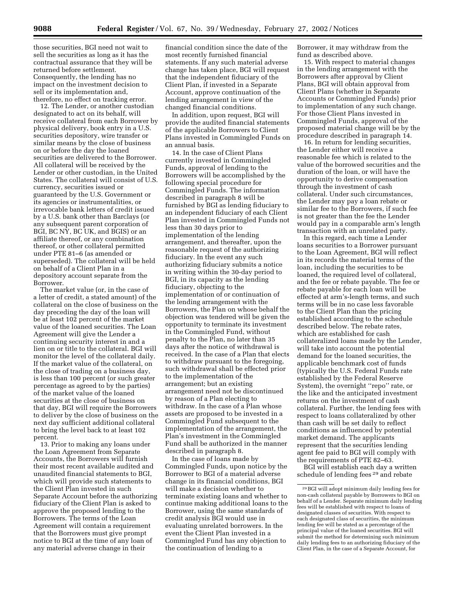those securities, BGI need not wait to sell the securities as long as it has the contractual assurance that they will be returned before settlement. Consequently, the lending has no impact on the investment decision to sell or its implementation and, therefore, no effect on tracking error.

12. The Lender, or another custodian designated to act on its behalf, will receive collateral from each Borrower by physical delivery, book entry in a U.S. securities depository, wire transfer or similar means by the close of business on or before the day the loaned securities are delivered to the Borrower. All collateral will be received by the Lender or other custodian, in the United States. The collateral will consist of U.S. currency, securities issued or guaranteed by the U.S. Government or its agencies or instrumentalities, or irrevocable bank letters of credit issued by a U.S. bank other than Barclays (or any subsequent parent corporation of BGI, BC NY, BC UK, and BGIS) or an affiliate thereof, or any combination thereof, or other collateral permitted under PTE 81–6 (as amended or superseded). The collateral will be held on behalf of a Client Plan in a depository account separate from the Borrower.

The market value (or, in the case of a letter of credit, a stated amount) of the collateral on the close of business on the day preceding the day of the loan will be at least 102 percent of the market value of the loaned securities. The Loan Agreement will give the Lender a continuing security interest in and a lien on or title to the collateral. BGI will monitor the level of the collateral daily. If the market value of the collateral, on the close of trading on a business day, is less than 100 percent (or such greater percentage as agreed to by the parties) of the market value of the loaned securities at the close of business on that day, BGI will require the Borrowers to deliver by the close of business on the next day sufficient additional collateral to bring the level back to at least 102 percent.

13. Prior to making any loans under the Loan Agreement from Separate Accounts, the Borrowers will furnish their most recent available audited and unaudited financial statements to BGI, which will provide such statements to the Client Plan invested in such Separate Account before the authorizing fiduciary of the Client Plan is asked to approve the proposed lending to the Borrowers. The terms of the Loan Agreement will contain a requirement that the Borrowers must give prompt notice to BGI at the time of any loan of any material adverse change in their

financial condition since the date of the most recently furnished financial statements. If any such material adverse change has taken place, BGI will request that the independent fiduciary of the Client Plan, if invested in a Separate Account, approve continuation of the lending arrangement in view of the changed financial conditions.

In addition, upon request, BGI will provide the audited financial statements of the applicable Borrowers to Client Plans invested in Commingled Funds on an annual basis.

14. In the case of Client Plans currently invested in Commingled Funds, approval of lending to the Borrowers will be accomplished by the following special procedure for Commingled Funds. The information described in paragraph 8 will be furnished by BGI as lending fiduciary to an independent fiduciary of each Client Plan invested in Commingled Funds not less than 30 days prior to implementation of the lending arrangement, and thereafter, upon the reasonable request of the authorizing fiduciary. In the event any such authorizing fiduciary submits a notice in writing within the 30-day period to BGI, in its capacity as the lending fiduciary, objecting to the implementation of or continuation of the lending arrangement with the Borrowers, the Plan on whose behalf the objection was tendered will be given the opportunity to terminate its investment in the Commingled Fund, without penalty to the Plan, no later than 35 days after the notice of withdrawal is received. In the case of a Plan that elects to withdraw pursuant to the foregoing, such withdrawal shall be effected prior to the implementation of the arrangement; but an existing arrangement need not be discontinued by reason of a Plan electing to withdraw. In the case of a Plan whose assets are proposed to be invested in a Commingled Fund subsequent to the implementation of the arrangement, the Plan's investment in the Commingled Fund shall be authorized in the manner described in paragraph 8.

In the case of loans made by Commingled Funds, upon notice by the Borrower to BGI of a material adverse change in its financial conditions, BGI will make a decision whether to terminate existing loans and whether to continue making additional loans to the Borrower, using the same standards of credit analysis BGI would use in evaluating unrelated borrowers. In the event the Client Plan invested in a Commingled Fund has any objection to the continuation of lending to a

Borrower, it may withdraw from the fund as described above.

15. With respect to material changes in the lending arrangement with the Borrowers after approval by Client Plans, BGI will obtain approval from Client Plans (whether in Separate Accounts or Commingled Funds) prior to implementation of any such change. For those Client Plans invested in Commingled Funds, approval of the proposed material change will be by the procedure described in paragraph 14.

16. In return for lending securities, the Lender either will receive a reasonable fee which is related to the value of the borrowed securities and the duration of the loan, or will have the opportunity to derive compensation through the investment of cash collateral. Under such circumstances, the Lender may pay a loan rebate or similar fee to the Borrowers, if such fee is not greater than the fee the Lender would pay in a comparable arm's length transaction with an unrelated party.

In this regard, each time a Lender loans securities to a Borrower pursuant to the Loan Agreement, BGI will reflect in its records the material terms of the loan, including the securities to be loaned, the required level of collateral, and the fee or rebate payable. The fee or rebate payable for each loan will be effected at arm's-length terms, and such terms will be in no case less favorable to the Client Plan than the pricing established according to the schedule described below. The rebate rates, which are established for cash collateralized loans made by the Lender, will take into account the potential demand for the loaned securities, the applicable benchmark cost of funds (typically the U.S. Federal Funds rate established by the Federal Reserve System), the overnight ''repo'' rate, or the like and the anticipated investment returns on the investment of cash collateral. Further, the lending fees with respect to loans collateralized by other than cash will be set daily to reflect conditions as influenced by potential market demand. The applicants represent that the securities lending agent fee paid to BGI will comply with the requirements of PTE 82–63.

BGI will establish each day a written schedule of lending fees 29 and rebate

<sup>29</sup>BGI will adopt minimum daily lending fees for non-cash collateral payable by Borrowers to BGI on behalf of a Lender. Separate minimum daily lending fees will be established with respect to loans of designated classes of securities. With respect to each designated class of securities, the minimum lending fee will be stated as a percentage of the principal value of the loaned securities. BGI will submit the method for determining such minimum daily lending fees to an authorizing fiduciary of the Client Plan, in the case of a Separate Account, for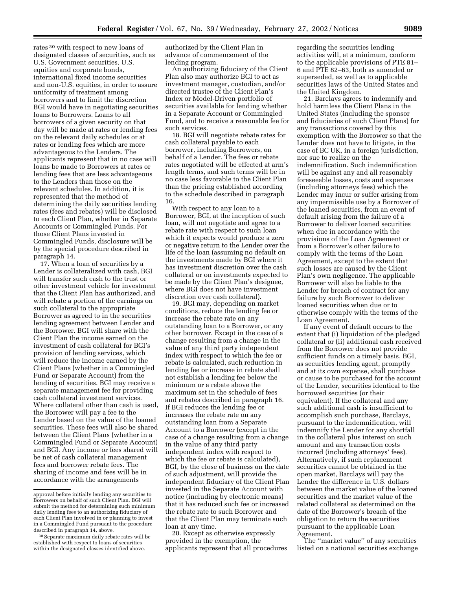rates 30 with respect to new loans of designated classes of securities, such as U.S. Government securities, U.S. equities and corporate bonds, international fixed income securities and non-U.S. equities, in order to assure uniformity of treatment among borrowers and to limit the discretion BGI would have in negotiating securities loans to Borrowers. Loans to all borrowers of a given security on that day will be made at rates or lending fees on the relevant daily schedules or at rates or lending fees which are more advantageous to the Lenders. The applicants represent that in no case will loans be made to Borrowers at rates or lending fees that are less advantageous to the Lenders than those on the relevant schedules. In addition, it is represented that the method of determining the daily securities lending rates (fees and rebates) will be disclosed to each Client Plan, whether in Separate Accounts or Commingled Funds. For those Client Plans invested in Commingled Funds, disclosure will be by the special procedure described in paragraph 14.

17. When a loan of securities by a Lender is collateralized with cash, BGI will transfer such cash to the trust or other investment vehicle for investment that the Client Plan has authorized, and will rebate a portion of the earnings on such collateral to the appropriate Borrower as agreed to in the securities lending agreement between Lender and the Borrower. BGI will share with the Client Plan the income earned on the investment of cash collateral for BGI's provision of lending services, which will reduce the income earned by the Client Plans (whether in a Commingled Fund or Separate Account) from the lending of securities. BGI may receive a separate management fee for providing cash collateral investment services. Where collateral other than cash is used, the Borrower will pay a fee to the Lender based on the value of the loaned securities. These fees will also be shared between the Client Plans (whether in a Commingled Fund or Separate Account) and BGI. Any income or fees shared will be net of cash collateral management fees and borrower rebate fees. The sharing of income and fees will be in accordance with the arrangements

authorized by the Client Plan in advance of commencement of the lending program.

An authorizing fiduciary of the Client Plan also may authorize BGI to act as investment manager, custodian, and/or directed trustee of the Client Plan's Index or Model-Driven portfolio of securities available for lending whether in a Separate Account or Commingled Fund, and to receive a reasonable fee for such services.

18. BGI will negotiate rebate rates for cash collateral payable to each borrower, including Borrowers, on behalf of a Lender. The fees or rebate rates negotiated will be effected at arm's length terms, and such terms will be in no case less favorable to the Client Plan than the pricing established according to the schedule described in paragraph 16.

With respect to any loan to a Borrower, BGI, at the inception of such loan, will not negotiate and agree to a rebate rate with respect to such loan which it expects would produce a zero or negative return to the Lender over the life of the loan (assuming no default on the investments made by BGI where it has investment discretion over the cash collateral or on investments expected to be made by the Client Plan's designee, where BGI does not have investment discretion over cash collateral).

19. BGI may, depending on market conditions, reduce the lending fee or increase the rebate rate on any outstanding loan to a Borrower, or any other borrower. Except in the case of a change resulting from a change in the value of any third party independent index with respect to which the fee or rebate is calculated, such reduction in lending fee or increase in rebate shall not establish a lending fee below the minimum or a rebate above the maximum set in the schedule of fees and rebates described in paragraph 16. If BGI reduces the lending fee or increases the rebate rate on any outstanding loan from a Separate Account to a Borrower (except in the case of a change resulting from a change in the value of any third party independent index with respect to which the fee or rebate is calculated), BGI, by the close of business on the date of such adjustment, will provide the independent fiduciary of the Client Plan invested in the Separate Account with notice (including by electronic means) that it has reduced such fee or increased the rebate rate to such Borrower and that the Client Plan may terminate such loan at any time.

20. Except as otherwise expressly provided in the exemption, the applicants represent that all procedures regarding the securities lending activities will, at a minimum, conform to the applicable provisions of PTE 81– 6 and PTE 82–63, both as amended or superseded, as well as to applicable securities laws of the United States and the United Kingdom.

21. Barclays agrees to indemnify and hold harmless the Client Plans in the United States (including the sponsor and fiduciaries of such Client Plans) for any transactions covered by this exemption with the Borrower so that the Lender does not have to litigate, in the case of BC UK, in a foreign jurisdiction, nor sue to realize on the indemnification. Such indemnification will be against any and all reasonably foreseeable losses, costs and expenses (including attorneys fees) which the Lender may incur or suffer arising from any impermissible use by a Borrower of the loaned securities, from an event of default arising from the failure of a Borrower to deliver loaned securities when due in accordance with the provisions of the Loan Agreement or from a Borrower's other failure to comply with the terms of the Loan Agreement, except to the extent that such losses are caused by the Client Plan's own negligence. The applicable Borrower will also be liable to the Lender for breach of contract for any failure by such Borrower to deliver loaned securities when due or to otherwise comply with the terms of the Loan Agreement.

If any event of default occurs to the extent that (i) liquidation of the pledged collateral or (ii) additional cash received from the Borrower does not provide sufficient funds on a timely basis, BGI, as securities lending agent, promptly and at its own expense, shall purchase or cause to be purchased for the account of the Lender, securities identical to the borrowed securities (or their equivalent). If the collateral and any such additional cash is insufficient to accomplish such purchase, Barclays, pursuant to the indemnification, will indemnify the Lender for any shortfall in the collateral plus interest on such amount and any transaction costs incurred (including attorneys' fees). Alternatively, if such replacement securities cannot be obtained in the open market, Barclays will pay the Lender the difference in U.S. dollars between the market value of the loaned securities and the market value of the related collateral as determined on the date of the Borrower's breach of the obligation to return the securities pursuant to the applicable Loan Agreement.

The ''market value'' of any securities listed on a national securities exchange

approval before initially lending any securities to Borrowers on behalf of such Client Plan. BGI will submit the method for determining such minimum daily lending fees to an authorizing fiduciary of each Client Plan involved in or planning to invest in a Commingled Fund pursuant to the procedure described in paragraph 14, above.

<sup>30</sup>Separate maximum daily rebate rates will be established with respect to loans of securities within the designated classes identified above.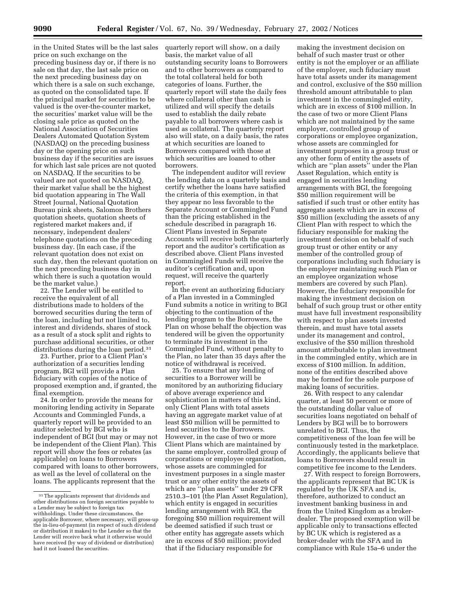in the United States will be the last sales price on such exchange on the preceding business day or, if there is no sale on that day, the last sale price on the next preceding business day on which there is a sale on such exchange, as quoted on the consolidated tape. If the principal market for securities to be valued is the over-the-counter market, the securities' market value will be the closing sale price as quoted on the National Association of Securities Dealers Automated Quotation System (NASDAQ) on the preceding business day or the opening price on such business day if the securities are issues for which last sale prices are not quoted on NASDAQ. If the securities to be valued are not quoted on NASDAQ, their market value shall be the highest bid quotation appearing in The Wall Street Journal, National Quotation Bureau pink sheets, Salomon Brothers quotation sheets, quotation sheets of registered market makers and, if necessary, independent dealers' telephone quotations on the preceding business day. (In each case, if the relevant quotation does not exist on such day, then the relevant quotation on the next preceding business day in which there is such a quotation would be the market value.)

22. The Lender will be entitled to receive the equivalent of all distributions made to holders of the borrowed securities during the term of the loan, including but not limited to, interest and dividends, shares of stock as a result of a stock split and rights to purchase additional securities, or other distributions during the loan period.31

23. Further, prior to a Client Plan's authorization of a securities lending program, BGI will provide a Plan fiduciary with copies of the notice of proposed exemption and, if granted, the final exemption.

24. In order to provide the means for monitoring lending activity in Separate Accounts and Commingled Funds, a quarterly report will be provided to an auditor selected by BGI who is independent of BGI (but may or may not be independent of the Client Plan). This report will show the fees or rebates (as applicable) on loans to Borrowers compared with loans to other borrowers, as well as the level of collateral on the loans. The applicants represent that the

quarterly report will show, on a daily basis, the market value of all outstanding security loans to Borrowers and to other borrowers as compared to the total collateral held for both categories of loans. Further, the quarterly report will state the daily fees where collateral other than cash is utilized and will specify the details used to establish the daily rebate payable to all borrowers where cash is used as collateral. The quarterly report also will state, on a daily basis, the rates at which securities are loaned to Borrowers compared with those at which securities are loaned to other borrowers.

The independent auditor will review the lending data on a quarterly basis and certify whether the loans have satisfied the criteria of this exemption, in that they appear no less favorable to the Separate Account or Commingled Fund than the pricing established in the schedule described in paragraph 16. Client Plans invested in Separate Accounts will receive both the quarterly report and the auditor's certification as described above. Client Plans invested in Commingled Funds will receive the auditor's certification and, upon request, will receive the quarterly report.

In the event an authorizing fiduciary of a Plan invested in a Commingled Fund submits a notice in writing to BGI objecting to the continuation of the lending program to the Borrowers, the Plan on whose behalf the objection was tendered will be given the opportunity to terminate its investment in the Commingled Fund, without penalty to the Plan, no later than 35 days after the notice of withdrawal is received.

25. To ensure that any lending of securities to a Borrower will be monitored by an authorizing fiduciary of above average experience and sophistication in matters of this kind, only Client Plans with total assets having an aggregate market value of at least \$50 million will be permitted to lend securities to the Borrowers. However, in the case of two or more Client Plans which are maintained by the same employer, controlled group of corporations or employee organization, whose assets are commingled for investment purposes in a single master trust or any other entity the assets of which are ''plan assets'' under 29 CFR 2510.3–101 (the Plan Asset Regulation), which entity is engaged in securities lending arrangement with BGI, the foregoing \$50 million requirement will be deemed satisfied if such trust or other entity has aggregate assets which are in excess of \$50 million; provided that if the fiduciary responsible for

making the investment decision on behalf of such master trust or other entity is not the employer or an affiliate of the employer, such fiduciary must have total assets under its management and control, exclusive of the \$50 million threshold amount attributable to plan investment in the commingled entity, which are in excess of \$100 million. In the case of two or more Client Plans which are not maintained by the same employer, controlled group of corporations or employee organization, whose assets are commingled for investment purposes in a group trust or any other form of entity the assets of which are ''plan assets'' under the Plan Asset Regulation, which entity is engaged in securities lending arrangements with BGI, the foregoing \$50 million requirement will be satisfied if such trust or other entity has aggregate assets which are in excess of \$50 million (excluding the assets of any Client Plan with respect to which the fiduciary responsible for making the investment decision on behalf of such group trust or other entity or any member of the controlled group of corporations including such fiduciary is the employer maintaining such Plan or an employee organization whose members are covered by such Plan). However, the fiduciary responsible for making the investment decision on behalf of such group trust or other entity must have full investment responsibility with respect to plan assets invested therein, and must have total assets under its management and control, exclusive of the \$50 million threshold amount attributable to plan investment in the commingled entity, which are in excess of \$100 million. In addition, none of the entities described above may be formed for the sole purpose of making loans of securities.

26. With respect to any calendar quarter, at least 50 percent or more of the outstanding dollar value of securities loans negotiated on behalf of Lenders by BGI will be to borrowers unrelated to BGI. Thus, the competitiveness of the loan fee will be continuously tested in the marketplace. Accordingly, the applicants believe that loans to Borrowers should result in competitive fee income to the Lenders.

27. With respect to foreign Borrowers, the applicants represent that BC UK is regulated by the UK SFA and is, therefore, authorized to conduct an investment banking business in and from the United Kingdom as a brokerdealer. The proposed exemption will be applicable only to transactions effected by BC UK which is registered as a broker-dealer with the SFA and in compliance with Rule 15a–6 under the

<sup>31</sup>The applicants represent that dividends and other distributions on foreign securities payable to a Lender may be subject to foreign tax withholdings. Under these circumstances, the applicable Borrower, where necessary, will gross-up the in-lieu-of-payment (in respect of such dividend or distribution it makes) to the Lender so that the Lender will receive back what it otherwise would have received (by way of dividend or distribution) had it not loaned the securities.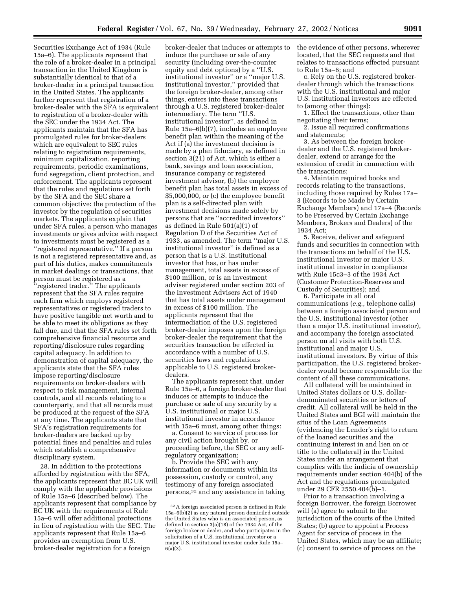Securities Exchange Act of 1934 (Rule 15a–6). The applicants represent that the role of a broker-dealer in a principal transaction in the United Kingdom is substantially identical to that of a broker-dealer in a principal transaction in the United States. The applicants further represent that registration of a broker-dealer with the SFA is equivalent to registration of a broker-dealer with the SEC under the 1934 Act. The applicants maintain that the SFA has promulgated rules for broker-dealers which are equivalent to SEC rules relating to registration requirements, minimum capitalization, reporting requirements, periodic examinations, fund segregation, client protection, and enforcement. The applicants represent that the rules and regulations set forth by the SFA and the SEC share a common objective: the protection of the investor by the regulation of securities markets. The applicants explain that under SFA rules, a person who manages investments or gives advice with respect to investments must be registered as a ''registered representative.'' If a person is not a registered representative and, as part of his duties, makes commitments in market dealings or transactions, that person must be registered as a ''registered trader.'' The applicants represent that the SFA rules require each firm which employs registered representatives or registered traders to have positive tangible net worth and to be able to meet its obligations as they fall due, and that the SFA rules set forth comprehensive financial resource and reporting/disclosure rules regarding capital adequacy. In addition to demonstration of capital adequacy, the applicants state that the SFA rules impose reporting/disclosure requirements on broker-dealers with respect to risk management, internal controls, and all records relating to a counterparty, and that all records must be produced at the request of the SFA at any time. The applicants state that SFA's registration requirements for broker-dealers are backed up by potential fines and penalties and rules which establish a comprehensive disciplinary system.

28. In addition to the protections afforded by registration with the SFA, the applicants represent that BC UK will comply with the applicable provisions of Rule 15a–6 (described below). The applicants represent that compliance by BC UK with the requirements of Rule 15a–6 will offer additional protections in lieu of registration with the SEC. The applicants represent that Rule 15a–6 provides an exemption from U.S. broker-dealer registration for a foreign

broker-dealer that induces or attempts to induce the purchase or sale of any security (including over-the-counter equity and debt options) by a ''U.S. institutional investor'' or a ''major U.S. institutional investor,'' provided that the foreign broker-dealer, among other things, enters into these transactions through a U.S. registered broker-dealer intermediary. The term ''U.S. institutional investor'', as defined in Rule 15a–6(b)(7), includes an employee benefit plan within the meaning of the Act if (a) the investment decision is made by a plan fiduciary, as defined in section 3(21) of Act, which is either a bank, savings and loan association, insurance company or registered investment advisor, (b) the employee benefit plan has total assets in excess of \$5,000,000, or (c) the employee benefit plan is a self-directed plan with investment decisions made solely by persons that are ''accredited investors'' as defined in Rule 501(a)(1) of Regulation D of the Securities Act of 1933, as amended. The term ''major U.S. institutional investor'' is defined as a person that is a U.S. institutional investor that has, or has under management, total assets in excess of \$100 million, or is an investment adviser registered under section 203 of the Investment Advisers Act of 1940 that has total assets under management in excess of \$100 million. The applicants represent that the intermediation of the U.S. registered broker-dealer imposes upon the foreign broker-dealer the requirement that the securities transaction be effected in accordance with a number of U.S. securities laws and regulations applicable to U.S. registered brokerdealers.

The applicants represent that, under Rule 15a–6, a foreign broker-dealer that induces or attempts to induce the purchase or sale of any security by a U.S. institutional or major U.S. institutional investor in accordance with 15a–6 must, among other things:

a. Consent to service of process for any civil action brought by, or proceeding before, the SEC or any selfregulatory organization;

b. Provide the SEC with any information or documents within its possession, custody or control, any testimony of any foreign associated persons,32 and any assistance in taking the evidence of other persons, wherever located, that the SEC requests and that relates to transactions effected pursuant to Rule 15a–6; and

c. Rely on the U.S. registered brokerdealer through which the transactions with the U.S. institutional and major U.S. institutional investors are effected to (among other things):

1. Effect the transactions, other than negotiating their terms;

2. Issue all required confirmations and statements;

3. As between the foreign brokerdealer and the U.S. registered brokerdealer, extend or arrange for the extension of credit in connection with the transactions;

4. Maintain required books and records relating to the transactions, including those required by Rules 17a– 3 (Records to be Made by Certain Exchange Members) and 17a–4 (Records to be Preserved by Certain Exchange Members, Brokers and Dealers) of the 1934 Act;

5. Receive, deliver and safeguard funds and securities in connection with the transactions on behalf of the U.S. institutional investor or major U.S. institutional investor in compliance with Rule 15c3–3 of the 1934 Act (Customer Protection-Reserves and Custody of Securities); and

6. Participate in all oral communications (*e.g.,* telephone calls) between a foreign associated person and the U.S. institutional investor (other than a major U.S. institutional investor), and accompany the foreign associated person on all visits with both U.S. institutional and major U.S. institutional investors. By virtue of this participation, the U.S. registered brokerdealer would become responsible for the content of all these communications.

All collateral will be maintained in United States dollars or U.S. dollardenominated securities or letters of credit. All collateral will be held in the United States and BGI will maintain the situs of the Loan Agreements (evidencing the Lender's right to return of the loaned securities and the continuing interest in and lien on or title to the collateral) in the United States under an arrangement that complies with the indicia of ownership requirements under section 404(b) of the Act and the regulations promulgated under 29 CFR 2550.404(b)–1.

Prior to a transaction involving a foreign Borrower, the foreign Borrower will (a) agree to submit to the jurisdiction of the courts of the United States; (b) agree to appoint a Process Agent for service of process in the United States, which may be an affiliate; (c) consent to service of process on the

<sup>32</sup>A foreign associated person is defined in Rule 15a–6(b)(2) as any natural person domiciled outside the United States who is an associated person, as defined in section 3(a)(18) of the 1934 Act, of the foreign broker or dealer, and who participates in the solicitation of a U.S. institutional investor or a major U.S. institutional investor under Rule 15a–  $6(a)(3)$ .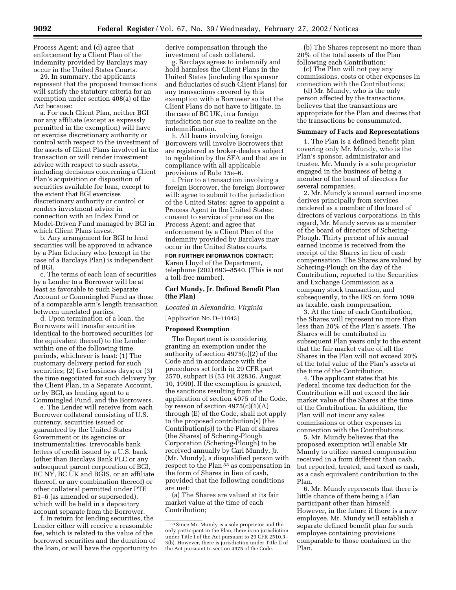Process Agent; and (d) agree that enforcement by a Client Plan of the indemnity provided by Barclays may occur in the United States Courts.

29. In summary, the applicants represent that the proposed transactions will satisfy the statutory criteria for an exemption under section 408(a) of the Act because:

a. For each Client Plan, neither BGI nor any affiliate (except as expressly permitted in the exemption) will have or exercise discretionary authority or control with respect to the investment of the assets of Client Plans involved in the transaction or will render investment advice with respect to such assets, including decisions concerning a Client Plan's acquisition or disposition of securities available for loan, except to the extent that BGI exercises discretionary authority or control or renders investment advice in connection with an Index Fund or Model-Driven Fund managed by BGI in which Client Plans invest.

b. Any arrangement for BGI to lend securities will be approved in advance by a Plan fiduciary who (except in the case of a Barclays Plan) is independent of BGI.

c. The terms of each loan of securities by a Lender to a Borrower will be at least as favorable to such Separate Account or Commingled Fund as those of a comparable arm's length transaction between unrelated parties.

d. Upon termination of a loan, the Borrowers will transfer securities identical to the borrowed securities (or the equivalent thereof) to the Lender within one of the following time periods, whichever is least: (1) The customary delivery period for such securities; (2) five business days; or (3) the time negotiated for such delivery by the Client Plan, in a Separate Account, or by BGI, as lending agent to a Commingled Fund, and the Borrowers.

e. The Lender will receive from each Borrower collateral consisting of U.S. currency, securities issued or guaranteed by the United States Government or its agencies or instrumentalities, irrevocable bank letters of credit issued by a U.S. bank (other than Barclays Bank PLC or any subsequent parent corporation of BGI, BC NY, BC UK and BGIS, or an affiliate thereof, or any combination thereof) or other collateral permitted under PTE 81–6 (as amended or superseded), which will be held in a depository account separate from the Borrower.

f. In return for lending securities, the Lender either will receive a reasonable fee, which is related to the value of the borrowed securities and the duration of the loan, or will have the opportunity to derive compensation through the investment of cash collateral.

g. Barclays agrees to indemnify and hold harmless the Client Plans in the United States (including the sponsor and fiduciaries of such Client Plans) for any transactions covered by this exemption with a Borrower so that the Client Plans do not have to litigate, in the case of BC UK, in a foreign jurisdiction nor sue to realize on the indemnification.

h. All loans involving foreign Borrowers will involve Borrowers that are registered as broker-dealers subject to regulation by the SFA and that are in compliance with all applicable provisions of Rule 15a–6.

i. Prior to a transaction involving a foreign Borrower, the foreign Borrower will: agree to submit to the jurisdiction of the United States; agree to appoint a Process Agent in the United States; consent to service of process on the Process Agent; and agree that enforcement by a Client Plan of the indemnity provided by Barclays may occur in the United States courts.

#### **FOR FURTHER INFORMATION CONTACT:**

Karen Lloyd of the Department, telephone (202) 693–8540. (This is not a toll-free number).

#### **Carl Mundy, Jr. Defined Benefit Plan (the Plan)**

*Located in Alexandria, Virginia*

#### [Application No. D–11043]

#### **Proposed Exemption**

The Department is considering granting an exemption under the authority of section 4975(c)(2) of the Code and in accordance with the procedures set forth in 29 CFR part 2570, subpart B (55 FR 32836, August 10, 1990). If the exemption is granted, the sanctions resulting from the application of section 4975 of the Code, by reason of section  $4975(c)(1)(A)$ through (E) of the Code, shall not apply to the proposed contribution(s) (the Contribution(s)) to the Plan of shares (the Shares) of Schering-Plough Corporation (Schering-Plough) to be received annually by Carl Mundy, Jr. (Mr. Mundy), a disqualified person with respect to the Plan <sup>33</sup> as compensation in the form of Shares in lieu of cash, provided that the following conditions are met:

(a) The Shares are valued at its fair market value at the time of each Contribution;

(b) The Shares represent no more than 20% of the total assets of the Plan following each Contribution;

(c) The Plan will not pay any commissions, costs or other expenses in connection with the Contributions;

(d) Mr. Mundy, who is the only person affected by the transactions, believes that the transactions are appropriate for the Plan and desires that the transactions be consummated.

#### **Summary of Facts and Representations**

1. The Plan is a defined benefit plan covering only Mr. Mundy, who is the Plan's sponsor, administrator and trustee. Mr. Mundy is a sole proprietor engaged in the business of being a member of the board of directors for several companies.

2. Mr. Mundy's annual earned income derives principally from services rendered as a member of the board of directors of various corporations. In this regard, Mr. Mundy serves as a member of the board of directors of Schering-Plough. Thirty percent of his annual earned income is received from the receipt of the Shares in lieu of cash compensation. The Shares are valued by Schering-Plough on the day of the Contribution, reported to the Securities and Exchange Commission as a company stock transaction, and subsequently, to the IRS on form 1099 as taxable, cash compensation.

3. At the time of each Contribution, the Shares will represent no more than less than 20% of the Plan's assets. The Shares will be contributed in subsequent Plan years only to the extent that the fair market value of all the Shares in the Plan will not exceed 20% of the total value of the Plan's assets at the time of the Contribution.

4. The applicant states that his Federal income tax deduction for the Contribution will not exceed the fair market value of the Shares at the time of the Contribution. In addition, the Plan will not incur any sales commissions or other expenses in connection with the Contributions.

5. Mr. Mundy believes that the proposed exemption will enable Mr. Mundy to utilize earned compensation received in a form different than cash, but reported, treated, and taxed as cash, as a cash equivalent contribution to the Plan.

6. Mr. Mundy represents that there is little chance of there being a Plan participant other than himself. However, in the future if there is a new employee. Mr. Mundy will establish a separate defined benefit plan for such employee containing provisions comparable to those contained in the Plan.

<sup>33</sup>Since Mr. Mundy is a sole proprietor and the only participant in the Plan, there is no jurisdiction under Title I of the Act pursuant to 29 CFR 2510.3– 3(b). However, there is jurisdiction under Title II of the Act pursuant to section 4975 of the Code.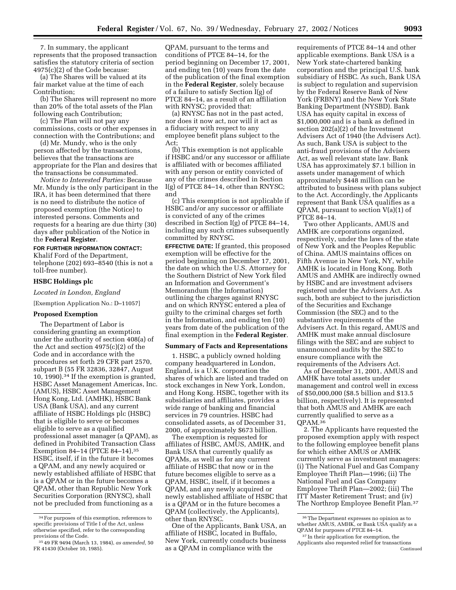7. In summary, the applicant represents that the proposed transaction satisfies the statutory criteria of section 4975(c)(2) of the Code because:

(a) The Shares will be valued at its fair market value at the time of each Contribution;

(b) The Shares will represent no more than 20% of the total assets of the Plan following each Contribution;

(c) The Plan will not pay any commissions, costs or other expenses in connection with the Contributions; and

(d) Mr. Mundy, who is the only person affected by the transactions, believes that the transactions are appropriate for the Plan and desires that the transactions be consummated.

*Notice to Interested Parties:* Because Mr. Mundy is the only participant in the IRA, it has been determined that there is no need to distribute the notice of proposed exemption (the Notice) to interested persons. Comments and requests for a hearing are due thirty (30) days after publication of the Notice in the **Federal Register**.

### **FOR FURTHER INFORMATION CONTACT:**

Khalif Ford of the Department, telephone (202) 693–8540 (this is not a toll-free number).

#### **HSBC Holdings plc**

*Located in London, England*

[Exemption Application No.: D–11057]

#### **Proposed Exemption**

The Department of Labor is considering granting an exemption under the authority of section 408(a) of the Act and section 4975(c)(2) of the Code and in accordance with the procedures set forth 29 CFR part 2570, subpart B (55 FR 32836, 32847, August 10, 1990).34 If the exemption is granted, HSBC Asset Management Americas, Inc. (AMUS), HSBC Asset Management Hong Kong, Ltd. (AMHK), HSBC Bank USA (Bank USA), and any current affiliate of HSBC Holdings plc (HSBC) that is eligible to serve or becomes eligible to serve as a qualified professional asset manager (a QPAM), as defined in Prohibited Transaction Class Exemption 84-14 (PTCE 84-14), 35 HSBC, itself, if in the future it becomes a QPAM, and any newly acquired or newly established affiliate of HSBC that is a QPAM or in the future becomes a QPAM, other than Republic New York Securities Corporation (RNYSC), shall not be precluded from functioning as a

QPAM, pursuant to the terms and conditions of PTCE 84–14, for the period beginning on December 17, 2001, and ending ten (10) years from the date of the publication of the final exemption in the **Federal Register**, solely because of a failure to satisfy Section I(g) of PTCE 84–14, as a result of an affiliation with RNYSC; provided that:

(a) RNYSC has not in the past acted, nor does it now act, nor will it act as a fiduciary with respect to any employee benefit plans subject to the Act;

(b) This exemption is not applicable if HSBC and/or any successor or affiliate is affiliated with or becomes affiliated with any person or entity convicted of any of the crimes described in Section I(g) of PTCE 84–14, other than RNYSC; and

(c) This exemption is not applicable if HSBC and/or any successor or affiliate is convicted of any of the crimes described in Section I(g) of PTCE 84–14, including any such crimes subsequently committed by RNYSC.

**EFFECTIVE DATE:** If granted, this proposed exemption will be effective for the period beginning on December 17, 2001, the date on which the U.S. Attorney for the Southern District of New York filed an Information and Government's Memorandum (the Information) outlining the charges against RNYSC and on which RNYSC entered a plea of guilty to the criminal charges set forth in the Information, and ending ten (10) years from date of the publication of the final exemption in the **Federal Register**.

#### **Summary of Facts and Representations**

1. HSBC, a publicly owned holding company headquartered in London, England, is a U.K. corporation the shares of which are listed and traded on stock exchanges in New York, London, and Hong Kong. HSBC, together with its subsidiaries and affiliates, provides a wide range of banking and financial services in 79 countries. HSBC had consolidated assets, as of December 31, 2000, of approximately \$673 billion.

The exemption is requested for affiliates of HSBC, AMUS, AMHK, and Bank USA that currently qualify as QPAMs, as well as for any current affiliate of HSBC that now or in the future becomes eligible to serve as a QPAM, HSBC, itself, if it becomes a QPAM, and any newly acquired or newly established affiliate of HSBC that is a QPAM or in the future becomes a QPAM (collectively, the Applicants), other than RNYSC.

One of the Applicants, Bank USA, an affiliate of HSBC, located in Buffalo, New York, currently conducts business as a QPAM in compliance with the

requirements of PTCE 84–14 and other applicable exemptions. Bank USA is a New York state-chartered banking corporation and the principal U.S. bank subsidiary of HSBC. As such, Bank USA is subject to regulation and supervision by the Federal Reserve Bank of New York (FRBNY) and the New York State Banking Department (NYSBD). Bank USA has equity capital in excess of \$1,000,000 and is a bank as defined in section 202(a)(2) of the Investment Advisers Act of 1940 (the Advisers Act). As such, Bank USA is subject to the anti-fraud provisions of the Advisers Act, as well relevant state law. Bank USA has approximately \$7.1 billion in assets under management of which approximately \$448 million can be attributed to business with plans subject to the Act. Accordingly, the Applicants represent that Bank USA qualifies as a QPAM, pursuant to section V(a)(1) of PTCE 84–14.

Two other Applicants, AMUS and AMHK are corporations organized, respectively, under the laws of the state of New York and the Peoples Republic of China. AMUS maintains offices on Fifth Avenue in New York, NY, while AMHK is located in Hong Kong. Both AMUS and AMHK are indirectly owned by HSBC and are investment advisers registered under the Advisers Act. As such, both are subject to the jurisdiction of the Securities and Exchange Commission (the SEC) and to the substantive requirements of the Advisers Act. In this regard, AMUS and AMHK must make annual disclosure filings with the SEC and are subject to unannounced audits by the SEC to ensure compliance with the requirements of the Advisers Act.

As of December 31, 2001, AMUS and AMHK have total assets under management and control well in excess of \$50,000,000 (\$8.5 billion and \$13.5 billion, respectively). It is represented that both AMUS and AMHK are each currently qualified to serve as a QPAM.36

2. The Applicants have requested the proposed exemption apply with respect to the following employee benefit plans for which either AMUS or AMHK currently serve as investment managers: (i) The National Fuel and Gas Company Employee Thrift Plan—1996; (ii) The National Fuel and Gas Company Employee Thrift Plan—2002; (iii) The ITT Master Retirement Trust; and (iv) The Northrop Employee Benefit Plan.37

<sup>34</sup>For purposes of this exemption, references to specific provisions of Title I of the Act, unless otherwise specified, refer to the corresponding provisions of the Code.

<sup>35</sup> 49 FR 9494 (March 13, 1984), *as amended,* 50 FR 41430 (October 10, 1985).

<sup>36</sup>The Department expresses no opinion as to whether AMUS, AMHK, or Bank USA qualify as a QPAM for purposes of PTCE 84–14.

<sup>&</sup>lt;sup>37</sup> In their application for exemption, the Applicants also requested relief for transactions Continued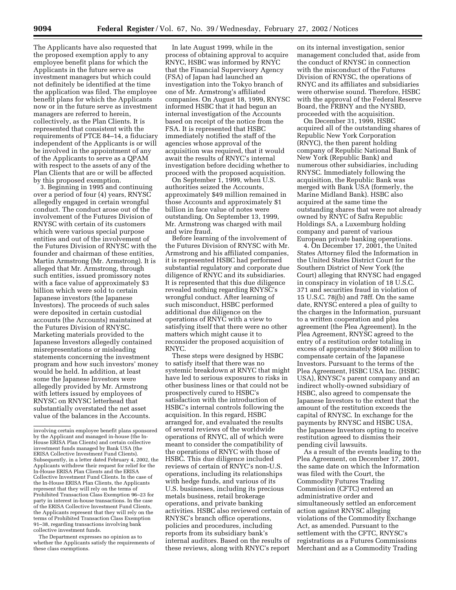The Applicants have also requested that the proposed exemption apply to any employee benefit plans for which the Applicants in the future serve as investment managers but which could not definitely be identified at the time the application was filed. The employee benefit plans for which the Applicants now or in the future serve as investment managers are referred to herein, collectively, as the Plan Clients. It is represented that consistent with the requirements of PTCE 84–14, a fiduciary independent of the Applicants is or will be involved in the appointment of any of the Applicants to serve as a QPAM with respect to the assets of any of the Plan Clients that are or will be affected by this proposed exemption.

3. Beginning in 1995 and continuing over a period of four (4) years, RNYSC allegedly engaged in certain wrongful conduct. The conduct arose out of the involvement of the Futures Division of RNYSC with certain of its customers which were various special purpose entities and out of the involvement of the Futures Division of RNYSC with the founder and chairman of these entities, Martin Armstrong (Mr. Armstrong). It is alleged that Mr. Armstrong, through such entities, issued promissory notes with a face value of approximately \$3 billion which were sold to certain Japanese investors (the Japanese Investors). The proceeds of such sales were deposited in certain custodial accounts (the Accounts) maintained at the Futures Division of RNYSC. Marketing materials provided to the Japanese Investors allegedly contained misrepresentations or misleading statements concerning the investment program and how such investors' money would be held. In addition, at least some the Japanese Investors were allegedly provided by Mr. Armstrong with letters issued by employees of RNYSC on RNYSC letterhead that substantially overstated the net asset value of the balances in the Accounts.

The Department expresses no opinion as to whether the Applicants satisfy the requirements of these class exemptions.

In late August 1999, while in the process of obtaining approval to acquire RNYC, HSBC was informed by RNYC that the Financial Supervisory Agency (FSA) of Japan had launched an investigation into the Tokyo branch of one of Mr. Armstrong's affiliated companies. On August 18, 1999, RNYSC informed HSBC that it had begun an internal investigation of the Accounts based on receipt of the notice from the FSA. It is represented that HSBC immediately notified the staff of the agencies whose approval of the acquisition was required, that it would await the results of RNYC's internal investigation before deciding whether to proceed with the proposed acquisition.

On September 1, 1999, when U.S. authorities seized the Accounts, approximately \$49 million remained in those Accounts and approximately \$1 billion in face value of notes were outstanding. On September 13, 1999, Mr. Armstrong was charged with mail and wire fraud.

Before learning of the involvement of the Futures Division of RNYSC with Mr. Armstrong and his affiliated companies, it is represented HSBC had performed substantial regulatory and corporate due diligence of RNYC and its subsidiaries. It is represented that this due diligence revealed nothing regarding RNYSC's wrongful conduct. After learning of such misconduct, HSBC performed additional due diligence on the operations of RNYC with a view to satisfying itself that there were no other matters which might cause it to reconsider the proposed acquisition of RNYC.

These steps were designed by HSBC to satisfy itself that there was no systemic breakdown at RNYC that might have led to serious exposures to risks in other business lines or that could not be prospectively cured to HSBC's satisfaction with the introduction of HSBC's internal controls following the acquisition. In this regard, HSBC arranged for, and evaluated the results of several reviews of the worldwide operations of RNYC, all of which were meant to consider the compatibility of the operations of RNYC with those of HSBC. This due diligence included reviews of certain of RNYC's non-U.S. operations, including its relationships with hedge funds, and various of its U.S. businesses, including its precious metals business, retail brokerage operations, and private banking activities. HSBC also reviewed certain of RNYSC's branch office operations, policies and procedures, including reports from its subsidiary bank's internal auditors. Based on the results of these reviews, along with RNYC's report

on its internal investigation, senior management concluded that, aside from the conduct of RNYSC in connection with the misconduct of the Futures Division of RNYSC, the operations of RNYC and its affiliates and subsidiaries were otherwise sound. Therefore, HSBC with the approval of the Federal Reserve Board, the FRBNY and the NYSBD, proceeded with the acquisition.

On December 31, 1999, HSBC acquired all of the outstanding shares of Republic New York Corporation (RNYC), the then parent holding company of Republic National Bank of New York (Republic Bank) and numerous other subsidiaries, including RNYSC. Immediately following the acquisition, the Republic Bank was merged with Bank USA (formerly, the Marine Midland Bank). HSBC also acquired at the same time the outstanding shares that were not already owned by RNYC of Safra Republic Holdings SA, a Luxemburg holding company and parent of various European private banking operations.

4. On December 17, 2001, the United States Attorney filed the Information in the United States District Court for the Southern District of New York (the Court) alleging that RNYSC had engaged in conspiracy in violation of 18 U.S.C. 371 and securities fraud in violation of 15 U.S.C. 78j(b) and 78ff. On the same date, RNYSC entered a plea of guilty to the charges in the Information, pursuant to a written cooperation and plea agreement (the Plea Agreement). In the Plea Agreement, RNYSC agreed to the entry of a restitution order totaling in excess of approximately \$600 million to compensate certain of the Japanese Investors. Pursuant to the terms of the Plea Agreement, HSBC USA Inc. (HSBC USA), RNYSC's parent company and an indirect wholly-owned subsidiary of HSBC, also agreed to compensate the Japanese Investors to the extent that the amount of the restitution exceeds the capital of RNYSC. In exchange for the payments by RNYSC and HSBC USA, the Japanese Investors opting to receive restitution agreed to dismiss their pending civil lawsuits.

As a result of the events leading to the Plea Agreement, on December 17, 2001, the same date on which the Information was filed with the Court, the Commodity Futures Trading Commission (CFTC) entered an administrative order and simultaneously settled an enforcement action against RNYSC alleging violations of the Commodity Exchange Act, as amended. Pursuant to the settlement with the CFTC, RNYSC's registrations as a Futures Commissions Merchant and as a Commodity Trading

involving certain employee benefit plans sponsored by the Applicant and managed in-house (the In-House ERISA Plan Clients) and certain collective investment funds managed by Bank USA (the ERISA Collective Investment Fund Clients). Subsequently, in a letter dated February 4, 2002, the Applicants withdrew their request for relief for the House ERISA Plan Clients and the ERISA Collective Investment Fund Clients. In the case of the In-House ERISA Plan Clients, the Applicants represent that they will rely on the terms of Prohibited Transaction Class Exemption 96–23 for party in interest in-house transactions. In the case of the ERISA Collective Investment Fund Clients, the Applicants represent that they will rely on the terms of Prohibited Transaction Class Exemption 91–38, regarding transactions involving bank collective investment funds.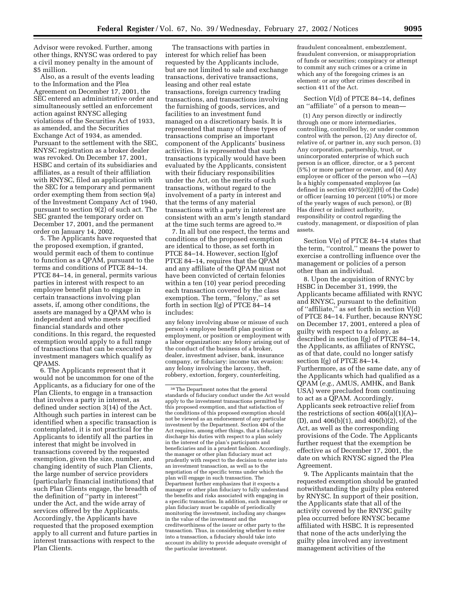Advisor were revoked. Further, among other things, RNYSC was ordered to pay a civil money penalty in the amount of \$5 million.

Also, as a result of the events leading to the Information and the Plea Agreement on December 17, 2001, the SEC entered an administrative order and simultaneously settled an enforcement action against RNYSC alleging violations of the Securities Act of 1933, as amended, and the Securities Exchange Act of 1934, as amended. Pursuant to the settlement with the SEC, RNYSC registration as a broker dealer was revoked. On December 17, 2001, HSBC and certain of its subsidiaries and affiliates, as a result of their affiliation with RNYSC, filed an application with the SEC for a temporary and permanent order exempting them from section 9(a) of the Investment Company Act of 1940, pursuant to section 9(2) of such act. The SEC granted the temporary order on December 17, 2001, and the permanent order on January 14, 2002.

5. The Applicants have requested that the proposed exemption, if granted, would permit each of them to continue to function as a QPAM, pursuant to the terms and conditions of PTCE 84–14. PTCE 84–14, in general, permits various parties in interest with respect to an employee benefit plan to engage in certain transactions involving plan assets, if, among other conditions, the assets are managed by a QPAM who is independent and who meets specified financial standards and other conditions. In this regard, the requested exemption would apply to a full range of transactions that can be executed by investment managers which qualify as QPAMS.

6. The Applicants represent that it would not be uncommon for one of the Applicants, as a fiduciary for one of the Plan Clients, to engage in a transaction that involves a party in interest, as defined under section 3(14) of the Act. Although such parties in interest can be identified when a specific transaction is contemplated, it is not practical for the Applicants to identify all the parties in interest that might be involved in transactions covered by the requested exemption, given the size, number, and changing identity of such Plan Clients, the large number of service providers (particularly financial institutions) that such Plan Clients engage, the breadth of the definition of ''party in interest'' under the Act, and the wide array of services offered by the Applicants. Accordingly, the Applicants have requested that the proposed exemption apply to all current and future parties in interest transactions with respect to the Plan Clients.

The transactions with parties in interest for which relief has been requested by the Applicants include, but are not limited to sale and exchange transactions, derivative transactions, leasing and other real estate transactions, foreign currency trading transactions, and transactions involving the furnishing of goods, services, and facilities to an investment fund managed on a discretionary basis. It is represented that many of these types of transactions comprise an important component of the Applicants' business activities. It is represented that such transactions typically would have been evaluated by the Applicants, consistent with their fiduciary responsibilities under the Act, on the merits of such transactions, without regard to the involvement of a party in interest and that the terms of any material transactions with a party in interest are consistent with an arm's length standard at the time such terms are agreed to.38

7. In all but one respect, the terms and conditions of the proposed exemption are identical to those, as set forth in PTCE 84–14. However, section I(g)of PTCE 84–14, requires that the QPAM and any affiliate of the QPAM must not have been convicted of certain felonies within a ten (10) year period preceding each transaction covered by the class exemption. The term, "felony," as set forth in section  $I(g)$  of PTCE 84-14 includes:

any felony involving abuse or misuse of such person's employee benefit plan position or employment, or position or employment with a labor organization: any felony arising out of the conduct of the business of a broker, dealer, investment adviser, bank, insurance company, or fiduciary: income tax evasion: any felony involving the larceny, theft, robbery, extortion, forgery, counterfeiting,

fraudulent concealment, embezzlement, fraudulent conversion, or misappropriation of funds or securities; conspiracy or attempt to commit any such crimes or a crime in which any of the foregoing crimes is an element: or any other crimes described in section 411 of the Act.

Section V(d) of PTCE 84–14, defines an ''affiliate'' of a person to mean—

(1) Any person directly or indirectly through one or more intermediaries, controlling, controlled by, or under common control with the person, (2) Any director of, relative of, or partner in, any such person, (3) Any corporation, partnership, trust, or unincorporated enterprise of which such person is an officer, director, or a 5 percent (5%) or more partner or owner, and (4) Any employee or officer of the person who —(A) Is a highly compensated employee (as defined in section 4975(e)(2)(H) of the Code) or officer (earning 10 percent (10%) or more of the yearly wages of such person), or (B) Has direct or indirect authority, responsibility or control regarding the custody, management, or disposition of plan assets.

Section V(e) of PTCE 84–14 states that the term, ''control,'' means the power to exercise a controlling influence over the management or policies of a person other than an individual.

8. Upon the acquisition of RNYC by HSBC in December 31, 1999, the Applicants became affiliated with RNYC and RNYSC, pursuant to the definition of ''affiliate,'' as set forth in section V(d) of PTCE 84–14. Further, because RNYSC on December 17, 2001, entered a plea of guilty with respect to a felony, as described in section I(g) of PTCE 84–14, the Applicants, as affiliates of RNYSC, as of that date, could no longer satisfy section I(g) of PTCE 84–14. Furthermore, as of the same date, any of the Applicants which had qualified as a QPAM (*e.g.,* AMUS, AMHK, and Bank USA) were precluded from continuing to act as a QPAM. Accordingly, Applicants seek retroactive relief from the restrictions of section  $406(a)(1)(A)$ – (D), and 406(b)(1), and 406(b)(2), of the Act, as well as the corresponding provisions of the Code. The Applicants further request that the exemption be effective as of December 17, 2001, the date on which RNYSC signed the Plea Agreement.

9. The Applicants maintain that the requested exemption should be granted notwithstanding the guilty plea entered by RNYSC. In support of their position, the Applicants state that all of the activity covered by the RNYSC guilty plea occurred before RNYSC became affiliated with HSBC. It is represented that none of the acts underlying the guilty plea involved any investment management activities of the

<sup>38</sup>The Department notes that the general standards of fiduciary conduct under the Act would apply to the investment transactions permitted by this proposed exemption, and that satisfaction of the conditions of this proposed exemption should not be viewed as an endorsement of any particular investment by the Department. Section 404 of the Act requires, among other things, that a fiduciary discharge his duties with respect to a plan solely in the interest of the plan's participants and beneficiaries and in a prudent fashion. Accordingly, the manager or other plan fiduciary must act prudently with respect to the decision to enter into an investment transaction, as well as to the negotiation of the specific terms under which the plan will engage in such transaction. The Department further emphasizes that it expects a manager or other plan fiduciary to fully understand the benefits and risks associated with engaging in a specific transaction. In addition, such manager or plan fiduciary must be capable of periodically monitoring the investment, including any changes in the value of the investment and the creditworthiness of the issuer or other party to the transaction. Thus, in considering whether to enter into a transaction, a fiduciary should take into account its ability to provide adequate oversight of the particular investment.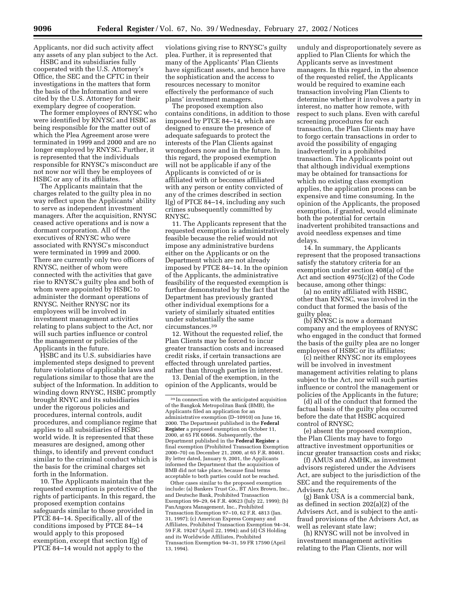Applicants, nor did such activity affect any assets of any plan subject to the Act.

HSBC and its subsidiaries fully cooperated with the U.S. Attorney's Office, the SEC and the CFTC in their investigations in the matters that form the basis of the Information and were cited by the U.S. Attorney for their exemplary degree of cooperation.

The former employees of RNYSC who were identified by RNYSC and HSBC as being responsible for the matter out of which the Plea Agreement arose were terminated in 1999 and 2000 and are no longer employed by RNYSC. Further, it is represented that the individuals responsible for RNYSC's misconduct are not now nor will they be employees of HSBC or any of its affiliates.

The Applicants maintain that the charges related to the guilty plea in no way reflect upon the Applicants' ability to serve as independent investment managers. After the acquisition, RNYSC ceased active operations and is now a dormant corporation. All of the executives of RNYSC who were associated with RNYSC's misconduct were terminated in 1999 and 2000. There are currently only two officers of RNYSC, neither of whom were connected with the activities that gave rise to RNYSC's guilty plea and both of whom were appointed by HSBC to administer the dormant operations of RNYSC. Neither RNYSC nor its employees will be involved in investment management activities relating to plans subject to the Act, nor will such parties influence or control the management or policies of the Applicants in the future.

HSBC and its U.S. subsidiaries have implemented steps designed to prevent future violations of applicable laws and regulations similar to those that are the subject of the Information. In addition to winding down RNYSC, HSBC promptly brought RNYC and its subsidiaries under the rigorous policies and procedures, internal controls, audit procedures, and compliance regime that applies to all subsidiaries of HSBC world wide. It is represented that these measures are designed, among other things, to identify and prevent conduct similar to the criminal conduct which is the basis for the criminal charges set forth in the Information.

10. The Applicants maintain that the requested exemption is protective of the rights of participants. In this regard, the proposed exemption contains safeguards similar to those provided in PTCE 84–14. Specifically, all of the conditions imposed by PTCE 84–14 would apply to this proposed exemption, except that section I(g) of PTCE 84–14 would not apply to the

violations giving rise to RNYSC's guilty plea. Further, it is represented that many of the Applicants' Plan Clients have significant assets, and hence have the sophistication and the access to resources necessary to monitor effectively the performance of such plans' investment managers.

The proposed exemption also contains conditions, in addition to those imposed by PTCE 84–14, which are designed to ensure the presence of adequate safeguards to protect the interests of the Plan Clients against wrongdoers now and in the future. In this regard, the proposed exemption will not be applicable if any of the Applicants is convicted of or is affiliated with or becomes affiliated with any person or entity convicted of any of the crimes described in section I(g) of PTCE 84–14, including any such crimes subsequently committed by RNYSC.

11. The Applicants represent that the requested exemption is administratively feasible because the relief would not impose any administrative burdens either on the Applicants or on the Department which are not already imposed by PTCE 84–14. In the opinion of the Applicants, the administrative feasibility of the requested exemption is further demonstrated by the fact that the Department has previously granted other individual exemptions for a variety of similarly situated entities under substantially the same circumstances.39

12. Without the requested relief, the Plan Clients may be forced to incur greater transaction costs and increased credit risks, if certain transactions are effected through unrelated parties, rather than through parties in interest.

13. Denial of the exemption, in the opinion of the Applicants, would be

Other cases similar to the proposed exemption include: (a) Bankers Trust Co., BT Alex Brown, Inc., and Deutsche Bank, Prohibited Transaction Exemption 99–29, 64 F.R. 40623 (July 22, 1999); (b) PanAngora Management, Inc., Prohibited Transaction Exemption 97–10, 62 F.R. 4813 (Jan. 31, 1997); (c) American Express Company and Affiliates, Prohibited Transaction Exemption 94–34, 59 F.R. 19247 (April 22, 1994); and (d) CS Holding and its Worldwide Affiliates, Prohibited Transaction Exemption 94–31, 59 FR 17590 (April 13, 1994).

unduly and disproportionately severe as applied to Plan Clients for which the Applicants serve as investment managers. In this regard, in the absence of the requested relief, the Applicants would be required to examine each transaction involving Plan Clients to determine whether it involves a party in interest, no matter how remote, with respect to such plans. Even with careful screening procedures for each transaction, the Plan Clients may have to forgo certain transactions in order to avoid the possibility of engaging inadvertently in a prohibited transaction. The Applicants point out that although individual exemptions may be obtained for transactions for which no existing class exemption applies, the application process can be expensive and time consuming. In the opinion of the Applicants, the proposed exemption, if granted, would eliminate both the potential for certain inadvertent prohibited transactions and avoid needless expenses and time delays.

14. In summary, the Applicants represent that the proposed transactions satisfy the statutory criteria for an exemption under section 408(a) of the Act and section 4975(c)(2) of the Code because, among other things:

(a) no entity affiliated with HSBC, other than RNYSC, was involved in the conduct that formed the basis of the guilty plea;

(b) RNYSC is now a dormant company and the employees of RNYSC who engaged in the conduct that formed the basis of the guilty plea are no longer employees of HSBC or its affiliates;

(c) neither RNYSC nor its employees will be involved in investment management activities relating to plans subject to the Act, nor will such parties influence or control the management or policies of the Applicants in the future;

(d) all of the conduct that formed the factual basis of the guilty plea occurred before the date that HSBC acquired control of RNYSC;

(e) absent the proposed exemption, the Plan Clients may have to forgo attractive investment opportunities or incur greater transaction costs and risks;

(f) AMUS and AMHK, as investment advisors registered under the Advisers Act, are subject to the jurisdiction of the SEC and the requirements of the Advisers Act;

(g) Bank USA is a commercial bank, as defined in section 202(a)(2) of the Advisers Act, and is subject to the antifraud provisions of the Advisers Act, as well as relevant state law;

(h) RNYSC will not be involved in investment management activities relating to the Plan Clients, nor will

<sup>39</sup> In connection with the anticipated acquisition of the Bangkok Metropolitan Bank (BMB), the Applicants filed an application for an administrative exemption (D–10910) on June 16, 2000. The Department published in the **Federal Register** a proposed exemption on October 11, 2000, at 65 FR 60666. Subsequently, the Department published in the **Federal Register** a final exemption (Prohibited Transaction Exemption 2000–70) on December 21, 2000, at 65 F.R. 80461. By letter dated, January 9, 2001, the Applicants informed the Department that the acquisition of BMB did not take place, because final terms acceptable to both parties could not be reached.